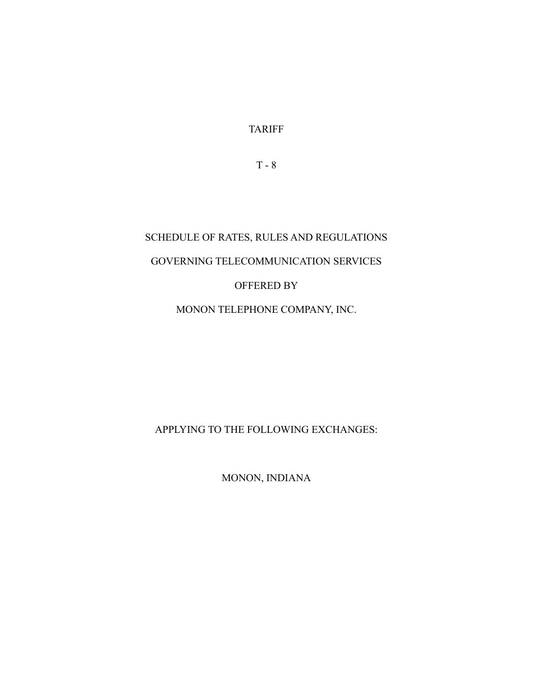TARIFF

T - 8

# SCHEDULE OF RATES, RULES AND REGULATIONS GOVERNING TELECOMMUNICATION SERVICES OFFERED BY MONON TELEPHONE COMPANY, INC.

APPLYING TO THE FOLLOWING EXCHANGES:

MONON, INDIANA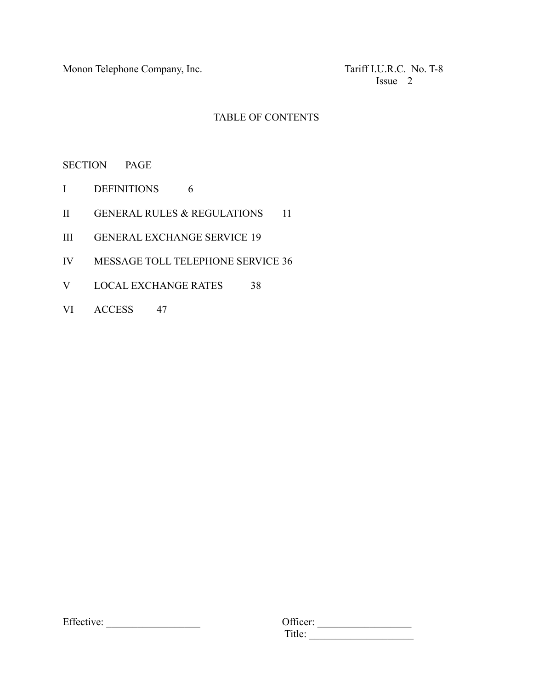Monon Telephone Company, Inc. The Company of Tariff I.U.R.C. No. T-8

Issue 2

# TABLE OF CONTENTS

SECTION PAGE

- I DEFINITIONS 6
- II GENERAL RULES & REGULATIONS 11
- III GENERAL EXCHANGE SERVICE 19
- IV MESSAGE TOLL TELEPHONE SERVICE 36
- V LOCAL EXCHANGE RATES 38
- VI ACCESS 47

| $\Gamma$ $\alpha$<br>Effective: | $\sim$<br>icer: |  |
|---------------------------------|-----------------|--|
|                                 |                 |  |

| Effective: | <b>Officer:</b>      |  |
|------------|----------------------|--|
|            | . 11 le :<br>. ILIU. |  |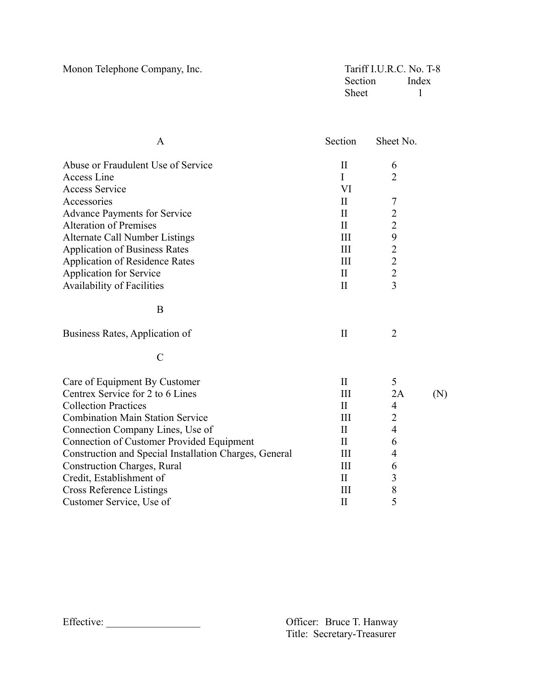Monon Telephone Company, Inc.

| Tariff I.U.R.C. No. T-8 |       |
|-------------------------|-------|
| Section                 | Index |
| <b>Sheet</b>            |       |

| A                                                      | Section      | Sheet No.                                  |     |
|--------------------------------------------------------|--------------|--------------------------------------------|-----|
| Abuse or Fraudulent Use of Service                     | $\rm II$     | 6                                          |     |
| Access Line                                            | I            | $\overline{2}$                             |     |
| <b>Access Service</b>                                  | VI           |                                            |     |
| Accessories                                            | $\mathbf{I}$ | 7                                          |     |
| <b>Advance Payments for Service</b>                    | $\mathbf{I}$ | $\overline{c}$                             |     |
| <b>Alteration of Premises</b>                          | $\mathbf{I}$ | $\overline{2}$                             |     |
| Alternate Call Number Listings                         | III          | 9                                          |     |
| <b>Application of Business Rates</b>                   | III          |                                            |     |
| <b>Application of Residence Rates</b>                  | III          | $\begin{array}{c} 2 \\ 2 \\ 2 \end{array}$ |     |
| <b>Application for Service</b>                         | $\mathbf{I}$ |                                            |     |
| Availability of Facilities                             | $\mathbf{I}$ | $\overline{3}$                             |     |
| B                                                      |              |                                            |     |
| Business Rates, Application of                         | $\mathbf{I}$ | $\overline{2}$                             |     |
| $\mathcal{C}$                                          |              |                                            |     |
| Care of Equipment By Customer                          | $\mathbf{I}$ | 5                                          |     |
| Centrex Service for 2 to 6 Lines                       | Ш            | 2A                                         | (N) |
| <b>Collection Practices</b>                            | $\mathbf{I}$ | $\overline{4}$                             |     |
| <b>Combination Main Station Service</b>                | III          | $\overline{2}$                             |     |
| Connection Company Lines, Use of                       | $\rm{II}$    | $\overline{4}$                             |     |
| Connection of Customer Provided Equipment              | $\mathbf{I}$ | 6                                          |     |
| Construction and Special Installation Charges, General | Ш            | $\overline{4}$                             |     |
| <b>Construction Charges, Rural</b>                     | III          | 6                                          |     |
| Credit, Establishment of                               | $\mathbf{I}$ | 3                                          |     |
| <b>Cross Reference Listings</b>                        | III          | 8                                          |     |
| Customer Service, Use of                               | $\rm II$     | 5                                          |     |
|                                                        |              |                                            |     |

Effective: \_\_\_\_\_\_\_\_\_\_\_\_\_\_\_\_\_\_ Officer: Bruce T. Hanway

Officer: Bruce T. Hanway<br>Title: Secretary-Treasurer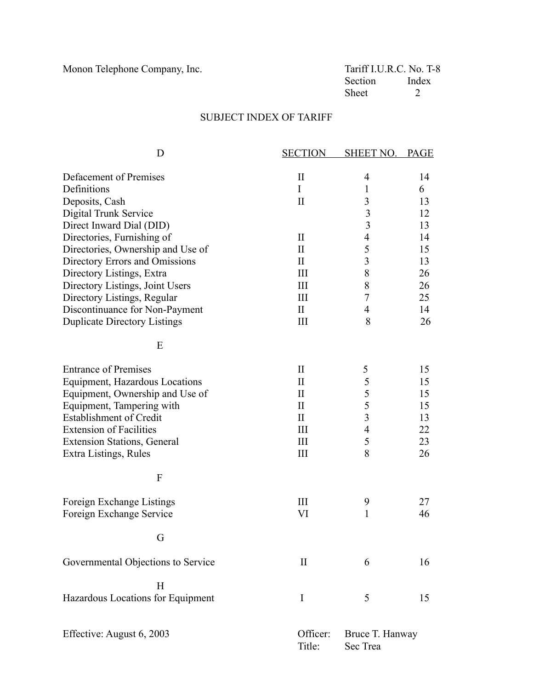Monon Telephone Company, Inc. Tariff I.U.R.C. No. T-8<br>Section Index Section Inde<br>Sheet 2 Sheet

# SUBJECT INDEX OF TARIFF

| D                                   | <b>SECTION</b>     | <b>SHEET NO.</b>            | <b>PAGE</b> |
|-------------------------------------|--------------------|-----------------------------|-------------|
| Defacement of Premises              | $\mathbf{I}$       | 4                           | 14          |
| Definitions                         | $\mathbf I$        | $\mathbf{1}$                | 6           |
| Deposits, Cash                      | $\mathbf{I}$       | 3                           | 13          |
| Digital Trunk Service               |                    | $\overline{\mathbf{3}}$     | 12          |
| Direct Inward Dial (DID)            |                    | 3                           | 13          |
| Directories, Furnishing of          | $\mathbf{I}$       | $\overline{4}$              | 14          |
| Directories, Ownership and Use of   | $\rm II$           | 5                           | 15          |
| Directory Errors and Omissions      | $\rm II$           | $\overline{3}$              | 13          |
| Directory Listings, Extra           | Ш                  | $8\,$                       | 26          |
|                                     | III                | $8\,$                       | 26          |
| Directory Listings, Joint Users     |                    | $\tau$                      |             |
| Directory Listings, Regular         | III                |                             | 25          |
| Discontinuance for Non-Payment      | $\mathbf{I}$       | $\overline{4}$              | 14          |
| <b>Duplicate Directory Listings</b> | III                | 8                           | 26          |
| E                                   |                    |                             |             |
| <b>Entrance of Premises</b>         | $\rm II$           | 5                           | 15          |
| Equipment, Hazardous Locations      | $\rm II$           | 5                           | 15          |
| Equipment, Ownership and Use of     | $\rm II$           | 5                           | 15          |
| Equipment, Tampering with           | $\mathbf{I}$       | 5                           | 15          |
| <b>Establishment of Credit</b>      | $\rm II$           | $\overline{3}$              |             |
|                                     |                    |                             | 13          |
| <b>Extension of Facilities</b>      | Ш                  | $\overline{4}$              | 22          |
| <b>Extension Stations, General</b>  | III                | 5                           | 23          |
| Extra Listings, Rules               | III                | 8                           | 26          |
| $\mathbf{F}$                        |                    |                             |             |
| Foreign Exchange Listings           | III                | 9                           | 27          |
| Foreign Exchange Service            | VI                 | $\mathbf{1}$                | 46          |
|                                     |                    |                             |             |
| G                                   |                    |                             |             |
| Governmental Objections to Service  | $\mathbf{I}$       | 6                           | 16          |
| H                                   |                    |                             |             |
| Hazardous Locations for Equipment   | I                  | 5                           | 15          |
| Effective: August 6, 2003           | Officer:<br>Title: | Bruce T. Hanway<br>Sec Trea |             |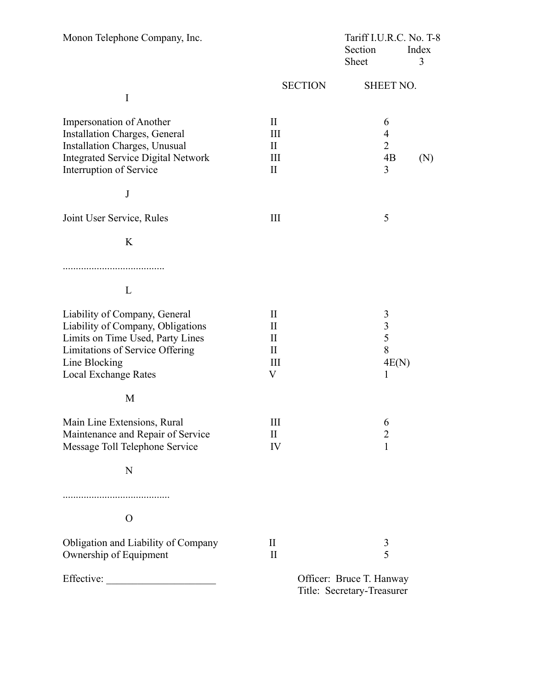| Monon Telephone Company, Inc.             |                | Tariff I.U.R.C. No. T-8  |            |
|-------------------------------------------|----------------|--------------------------|------------|
|                                           |                | Section<br>Sheet         | Index<br>3 |
|                                           |                |                          |            |
|                                           | <b>SECTION</b> | <b>SHEET NO.</b>         |            |
| I                                         |                |                          |            |
| Impersonation of Another                  | $\mathbf{I}$   | 6                        |            |
| Installation Charges, General             | Ш              | $\overline{4}$           |            |
| Installation Charges, Unusual             | $\mathbf{I}$   | $\overline{2}$           |            |
| <b>Integrated Service Digital Network</b> | Ш              | 4B                       | (N)        |
| Interruption of Service                   | $\rm II$       | 3                        |            |
|                                           |                |                          |            |
| J                                         |                |                          |            |
| Joint User Service, Rules                 | Ш              | 5                        |            |
| K                                         |                |                          |            |
|                                           |                |                          |            |
| L                                         |                |                          |            |
| Liability of Company, General             | $\rm II$       | 3                        |            |
| Liability of Company, Obligations         | $\rm II$       | $\mathfrak{Z}$           |            |
| Limits on Time Used, Party Lines          | $\rm II$       | 5                        |            |
| Limitations of Service Offering           | $\mathbf{I}$   | 8                        |            |
| Line Blocking                             | Ш              | 4E(N)                    |            |
| <b>Local Exchange Rates</b>               | V              | 1                        |            |
| M                                         |                |                          |            |
| Main Line Extensions, Rural               | Ш              | 6                        |            |
| Maintenance and Repair of Service         | $\rm II$       | $\overline{2}$           |            |
| Message Toll Telephone Service            | IV             | 1                        |            |
| N                                         |                |                          |            |
|                                           |                |                          |            |
| $\Omega$                                  |                |                          |            |
| Obligation and Liability of Company       | $\rm II$       | 3                        |            |
| Ownership of Equipment                    | $\rm II$       | 5                        |            |
| Effective:                                |                | Officer: Bruce T. Hanway |            |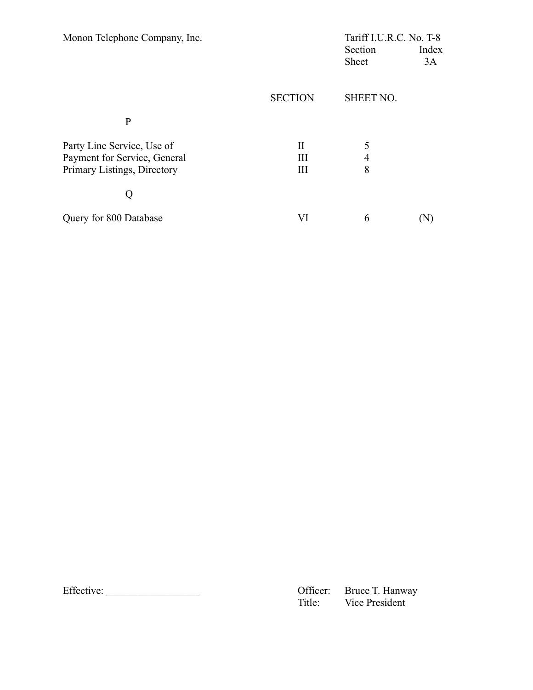| Monon Telephone Company, Inc. |                | Tariff I.U.R.C. No. T-8 |       |
|-------------------------------|----------------|-------------------------|-------|
|                               |                | Section                 | Index |
|                               |                | Sheet                   | 3A    |
|                               |                |                         |       |
|                               | <b>SECTION</b> | <b>SHEET NO.</b>        |       |
| $\mathbf{P}$                  |                |                         |       |
| Party Line Service, Use of    | Н              | 5                       |       |
| Payment for Service, General  | Ш              | 4                       |       |
| Primary Listings, Directory   | Ш              | 8                       |       |
|                               |                |                         |       |
| Query for 800 Database        | VI             | 6                       |       |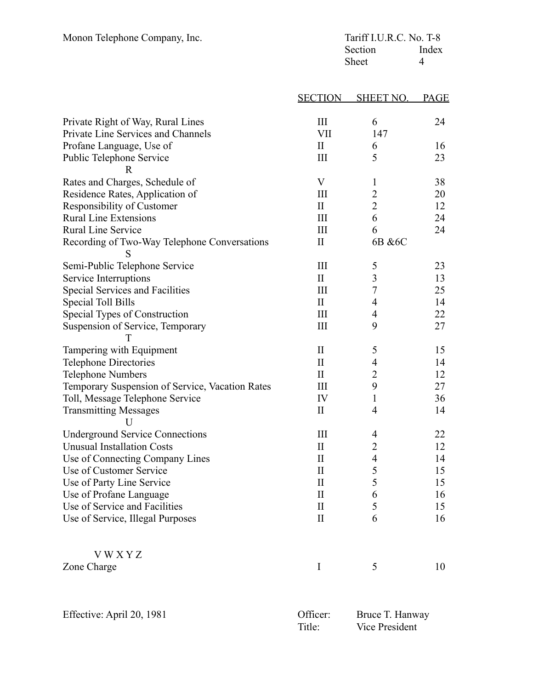| Monon Telephone Company, Inc.                     | Tariff I.U.R.C. No. T-8 |                  |             |
|---------------------------------------------------|-------------------------|------------------|-------------|
|                                                   |                         | Section          | Index       |
|                                                   |                         | Sheet            | 4           |
|                                                   |                         |                  |             |
|                                                   | <b>SECTION</b>          | <b>SHEET NO.</b> | <b>PAGE</b> |
| Private Right of Way, Rural Lines                 | III                     | 6                | 24          |
| Private Line Services and Channels                | <b>VII</b>              | 147              |             |
| Profane Language, Use of                          | $\rm II$                | 6                | 16          |
| Public Telephone Service<br>$\mathbb{R}$          | $\mathop{\rm III}$      | 5                | 23          |
| Rates and Charges, Schedule of                    | V                       | $\mathbf 1$      | 38          |
| Residence Rates, Application of                   | Ш                       | $\overline{c}$   | 20          |
| Responsibility of Customer                        | $\mathbf{I}$            | $\overline{c}$   | 12          |
| <b>Rural Line Extensions</b>                      | III                     | 6                | 24          |
| <b>Rural Line Service</b>                         | III                     | 6                | 24          |
| Recording of Two-Way Telephone Conversations<br>S | $\rm II$                | 6B & 6C          |             |
| Semi-Public Telephone Service                     | III                     | 5                | 23          |
| Service Interruptions                             | $\mathbf{I}$            | $\overline{3}$   | 13          |
| <b>Special Services and Facilities</b>            | III                     | 7                | 25          |
| Special Toll Bills                                | $\rm II$                | $\overline{4}$   | 14          |
| Special Types of Construction                     | III                     | 4                | 22          |
| Suspension of Service, Temporary<br>т             | III                     | 9                | 27          |
| Tampering with Equipment                          | $\mathbf{I}$            | 5                | 15          |
| <b>Telephone Directories</b>                      | $\mathbf{I}$            | 4                | 14          |
| <b>Telephone Numbers</b>                          | $\mathbf{I}$            | $\overline{c}$   | 12          |
| Temporary Suspension of Service, Vacation Rates   | Ш                       | 9                | 27          |
| Toll, Message Telephone Service                   | IV                      | $\mathbf{1}$     | 36          |
| <b>Transmitting Messages</b><br>$\mathbf{U}$      | $\rm II$                | $\overline{4}$   | 14          |
| <b>Underground Service Connections</b>            | Ш                       | 4                | 22          |
| <b>Unusual Installation Costs</b>                 | $\rm II$                | 2                | 12          |
| Use of Connecting Company Lines                   | $\mathbf{I}$            | $\overline{4}$   | 14          |
| Use of Customer Service                           | $\rm II$                | 5                | 15          |
| Use of Party Line Service                         | $\mathbf{I}$            | 5                | 15          |
| Use of Profane Language                           | $\mathbf{I}$            | 6                | 16          |
| Use of Service and Facilities                     | $\rm II$                | 5                | 15          |
| Use of Service, Illegal Purposes                  | $\mathbf{I}$            | 6                | 16          |
| <b>VWXYZ</b>                                      |                         |                  |             |
| Zone Charge                                       | $\bf{I}$                | 5                | 10          |
|                                                   |                         |                  |             |

| Effective: April 20, 1981 | Officer: | . Bruce T. Hanway |
|---------------------------|----------|-------------------|
|                           | Title:   | Vice President    |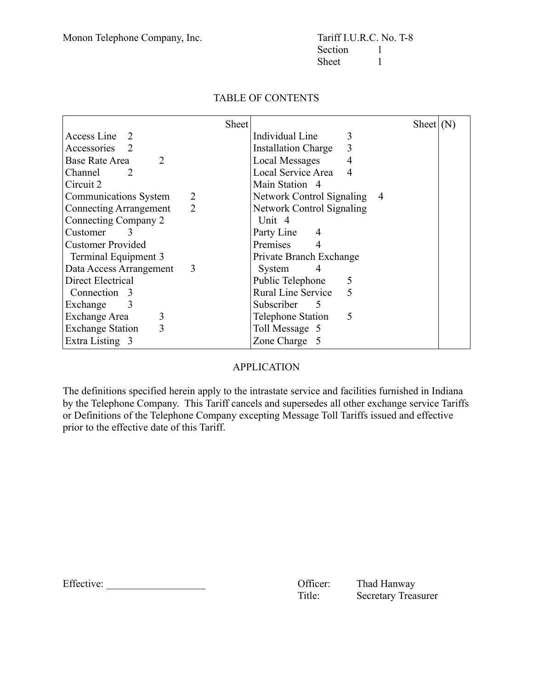|                                                 | <b>Sheet</b>                            | Sheet $(N)$ |
|-------------------------------------------------|-----------------------------------------|-------------|
| Access Line 2                                   | Individual Line<br>3                    |             |
| Accessories                                     | 3<br><b>Installation Charge</b>         |             |
| <b>Base Rate Area</b><br>$\overline{2}$         | <b>Local Messages</b><br>$\overline{4}$ |             |
| Channel<br>$\mathcal{D}_{\mathcal{L}}$          | Local Service Area<br>4                 |             |
| Circuit 2                                       | Main Station 4                          |             |
| 2<br>Communications System                      | Network Control Signaling               | -4          |
| $\overline{2}$<br><b>Connecting Arrangement</b> | <b>Network Control Signaling</b>        |             |
| Connecting Company 2                            | Unit 4                                  |             |
| Customer<br>$\mathcal{E}$                       | Party Line<br>4                         |             |
| <b>Customer Provided</b>                        | Premises<br>4                           |             |
| Terminal Equipment 3                            | Private Branch Exchange                 |             |
| Data Access Arrangement<br>3                    | System<br>4                             |             |
| Direct Electrical                               | Public Telephone<br>5                   |             |
| Connection 3                                    | 5<br><b>Rural Line Service</b>          |             |
| 3<br>Exchange                                   | <b>Subscriber</b><br>5                  |             |
| 3<br>Exchange Area                              | 5<br>Telephone Station                  |             |
| 3<br><b>Exchange Station</b>                    | Toll Message 5                          |             |
| Extra Listing 3                                 | Zone Charge 5                           |             |

# TABLE OF CONTENTS

# APPLICATION

The definitions specified herein apply to the intrastate service and facilities furnished in Indiana by the Telephone Company. This Tariff cancels and supersedes all other exchange service Tariffs or Definitions of the Telephone Company excepting Message Toll Tariffs issued and effective prior to the effective date of this Tariff.

Effective: \_\_\_\_\_\_\_\_\_\_\_\_\_\_\_\_\_\_\_ Officer: Thad Hanway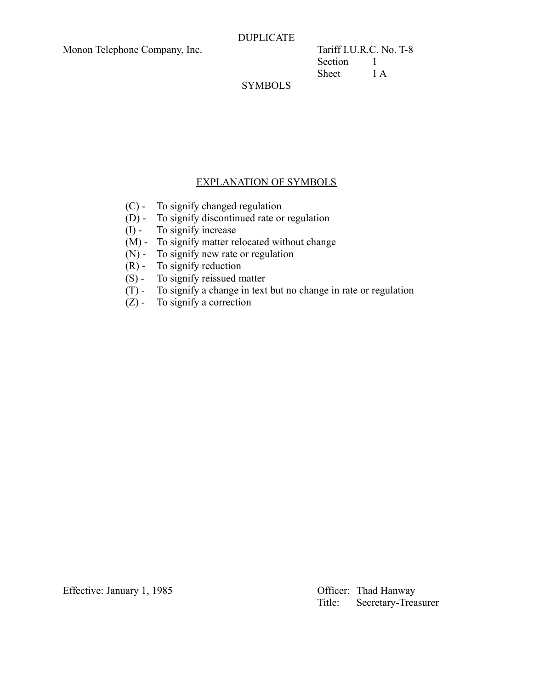Section 1 Sheet 1 A

# SYMBOLS

### EXPLANATION OF SYMBOLS

- (C) To signify changed regulation
- (D) To signify discontinued rate or regulation
- (I) To signify increase
- (M) To signify matter relocated without change
- (N) To signify new rate or regulation
- $(R)$  To signify reduction
- (S) To signify reissued matter
- (T) To signify a change in text but no change in rate or regulation
- $(Z)$  To signify a correction

Effective: January 1, 1985 Cfficer: Thad Hanway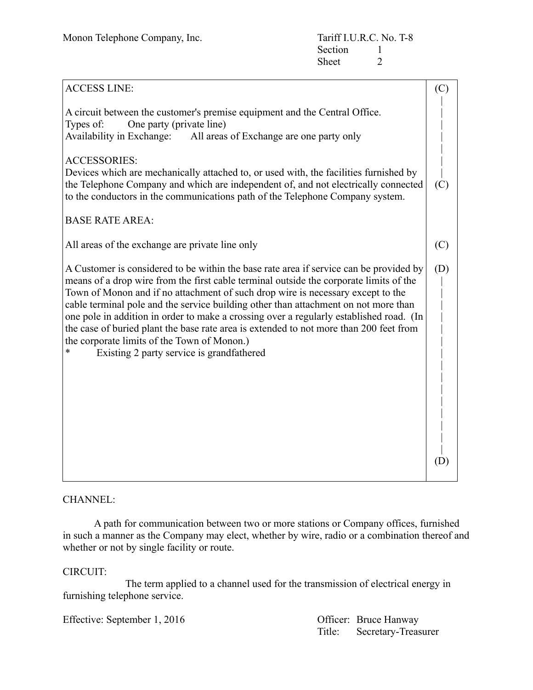| <b>ACCESS LINE:</b>                                                                                                                                                                                                                                                                                                                                                                                                                                                                                                                                                                                                                         | (C) |
|---------------------------------------------------------------------------------------------------------------------------------------------------------------------------------------------------------------------------------------------------------------------------------------------------------------------------------------------------------------------------------------------------------------------------------------------------------------------------------------------------------------------------------------------------------------------------------------------------------------------------------------------|-----|
| A circuit between the customer's premise equipment and the Central Office.<br>One party (private line)<br>Types of:<br>Availability in Exchange: All areas of Exchange are one party only                                                                                                                                                                                                                                                                                                                                                                                                                                                   |     |
| <b>ACCESSORIES:</b><br>Devices which are mechanically attached to, or used with, the facilities furnished by<br>the Telephone Company and which are independent of, and not electrically connected<br>to the conductors in the communications path of the Telephone Company system.                                                                                                                                                                                                                                                                                                                                                         | (C) |
| <b>BASE RATE AREA:</b>                                                                                                                                                                                                                                                                                                                                                                                                                                                                                                                                                                                                                      |     |
| All areas of the exchange are private line only                                                                                                                                                                                                                                                                                                                                                                                                                                                                                                                                                                                             | (C) |
| A Customer is considered to be within the base rate area if service can be provided by<br>means of a drop wire from the first cable terminal outside the corporate limits of the<br>Town of Monon and if no attachment of such drop wire is necessary except to the<br>cable terminal pole and the service building other than attachment on not more than<br>one pole in addition in order to make a crossing over a regularly established road. (In<br>the case of buried plant the base rate area is extended to not more than 200 feet from<br>the corporate limits of the Town of Monon.)<br>Existing 2 party service is grandfathered | (D) |
|                                                                                                                                                                                                                                                                                                                                                                                                                                                                                                                                                                                                                                             | (D) |

#### CHANNEL:

A path for communication between two or more stations or Company offices, furnished in such a manner as the Company may elect, whether by wire, radio or a combination thereof and whether or not by single facility or route.

#### CIRCUIT:

The term applied to a channel used for the transmission of electrical energy in furnishing telephone service.

Effective: September 1, 2016 Quantity Officer: Bruce Hanway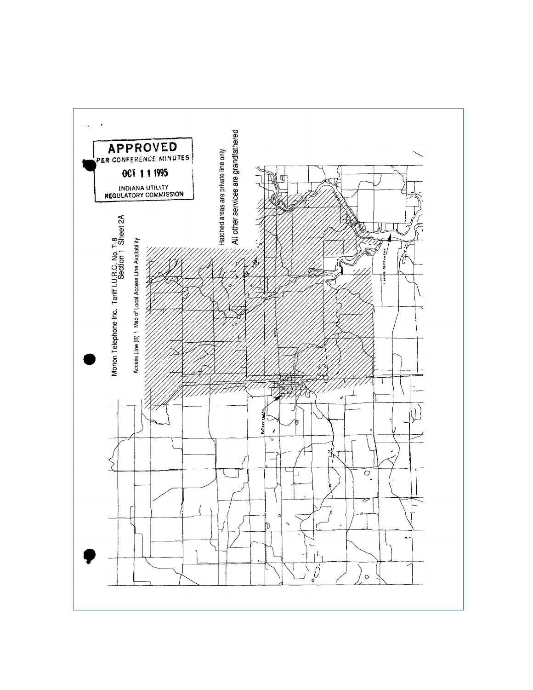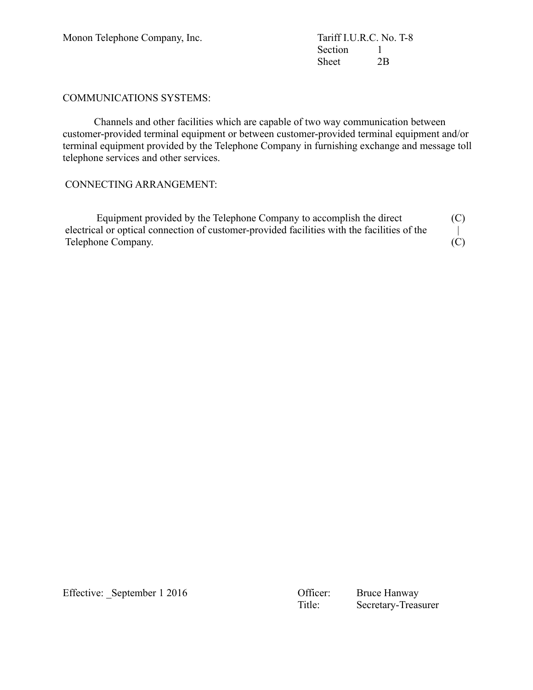Section 1 Sheet 2B

#### COMMUNICATIONS SYSTEMS:

Channels and other facilities which are capable of two way communication between customer-provided terminal equipment or between customer-provided terminal equipment and/or terminal equipment provided by the Telephone Company in furnishing exchange and message toll telephone services and other services.

# CONNECTING ARRANGEMENT:

| Equipment provided by the Telephone Company to accomplish the direct                        | (C) |
|---------------------------------------------------------------------------------------------|-----|
| electrical or optical connection of customer-provided facilities with the facilities of the |     |
| Telephone Company.                                                                          | (C) |

Effective: \_September 1 2016 Officer: Bruce Hanway

Secretary-Treasurer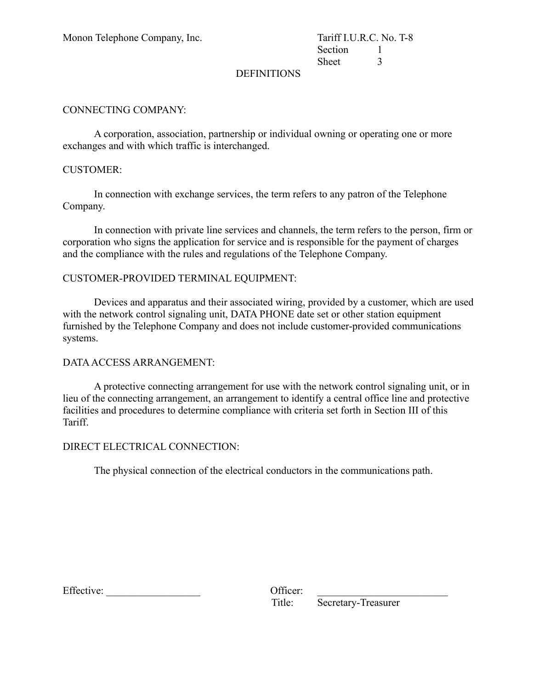Section 1 Sheet 3

### DEFINITIONS

### CONNECTING COMPANY:

A corporation, association, partnership or individual owning or operating one or more exchanges and with which traffic is interchanged.

#### CUSTOMER:

In connection with exchange services, the term refers to any patron of the Telephone Company.

In connection with private line services and channels, the term refers to the person, firm or corporation who signs the application for service and is responsible for the payment of charges and the compliance with the rules and regulations of the Telephone Company.

#### CUSTOMER-PROVIDED TERMINAL EQUIPMENT:

Devices and apparatus and their associated wiring, provided by a customer, which are used with the network control signaling unit, DATA PHONE date set or other station equipment furnished by the Telephone Company and does not include customer-provided communications systems.

#### DATA ACCESS ARRANGEMENT:

A protective connecting arrangement for use with the network control signaling unit, or in lieu of the connecting arrangement, an arrangement to identify a central office line and protective facilities and procedures to determine compliance with criteria set forth in Section III of this Tariff.

#### DIRECT ELECTRICAL CONNECTION:

The physical connection of the electrical conductors in the communications path.

 $Effective:$ 

| Officer: |  |
|----------|--|
| Title:   |  |

Secretary-Treasurer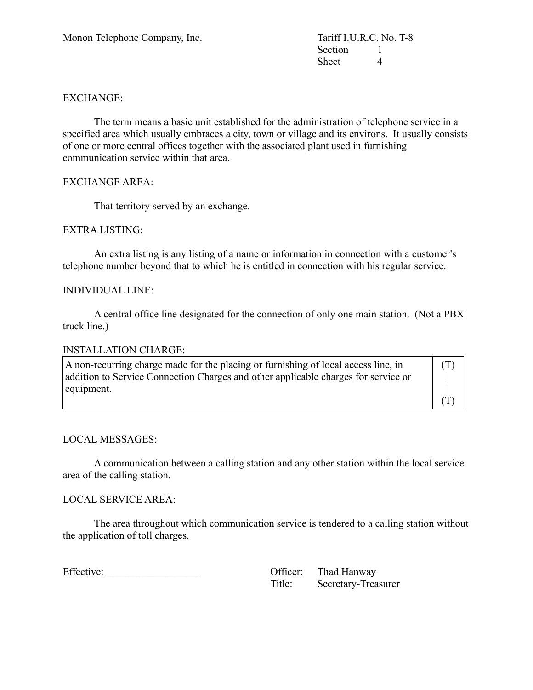Section 1 Sheet 4

### EXCHANGE:

The term means a basic unit established for the administration of telephone service in a specified area which usually embraces a city, town or village and its environs. It usually consists of one or more central offices together with the associated plant used in furnishing communication service within that area.

#### EXCHANGE AREA:

That territory served by an exchange.

#### EXTRA LISTING:

An extra listing is any listing of a name or information in connection with a customer's telephone number beyond that to which he is entitled in connection with his regular service.

#### INDIVIDUAL LINE:

A central office line designated for the connection of only one main station. (Not a PBX truck line.)

#### INSTALLATION CHARGE:

| $\vert$ A non-recurring charge made for the placing or furnishing of local access line, in | (T) |
|--------------------------------------------------------------------------------------------|-----|
| addition to Service Connection Charges and other applicable charges for service or         |     |
| equipment.                                                                                 |     |
|                                                                                            |     |

#### LOCAL MESSAGES:

A communication between a calling station and any other station within the local service area of the calling station.

#### LOCAL SERVICE AREA:

The area throughout which communication service is tendered to a calling station without the application of toll charges.

Effective: \_\_\_\_\_\_\_\_\_\_\_\_\_\_\_\_\_\_ Officer: Thad Hanway

| Officer: | Thad Hanway         |
|----------|---------------------|
| Title:   | Secretary-Treasurer |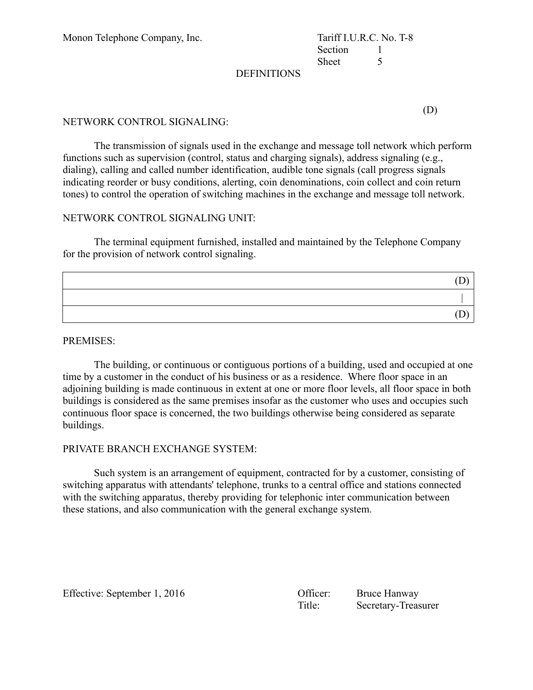Monon Telephone Company, Inc.

| Tariff I.U.R.C. No. T-8 |   |
|-------------------------|---|
| Section                 |   |
| <b>Sheet</b>            | ད |

#### **DEFINITIONS**

(D)

#### NETWORK CONTROL SIGNALING:

The transmission of signals used in the exchange and message toll network which perform functions such as supervision (control, status and charging signals), address signaling (e.g., dialing), calling and called number identification, audible tone signals (call progress signals indicating reorder or busy conditions, alerting, coin denominations, coin collect and coin return tones) to control the operation of switching machines in the exchange and message toll network.

#### NETWORK CONTROL SIGNALING UNIT:

The terminal equipment furnished, installed and maintained by the Telephone Company for the provision of network control signaling.

#### PREMISES:

The building, or continuous or contiguous portions of a building, used and occupied at one time by a customer in the conduct of his business or as a residence. Where floor space in an adjoining building is made continuous in extent at one or more floor levels, all floor space in both buildings is considered as the same premises insofar as the customer who uses and occupies such continuous floor space is concerned, the two buildings otherwise being considered as separate buildings.

#### PRIVATE BRANCH EXCHANGE SYSTEM:

Such system is an arrangement of equipment, contracted for by a customer, consisting of switching apparatus with attendants' telephone, trunks to a central office and stations connected with the switching apparatus, thereby providing for telephonic inter communication between these stations, and also communication with the general exchange system.

Effective: September 1, 2016 Contract Contract Contract Contract Bruce Hanway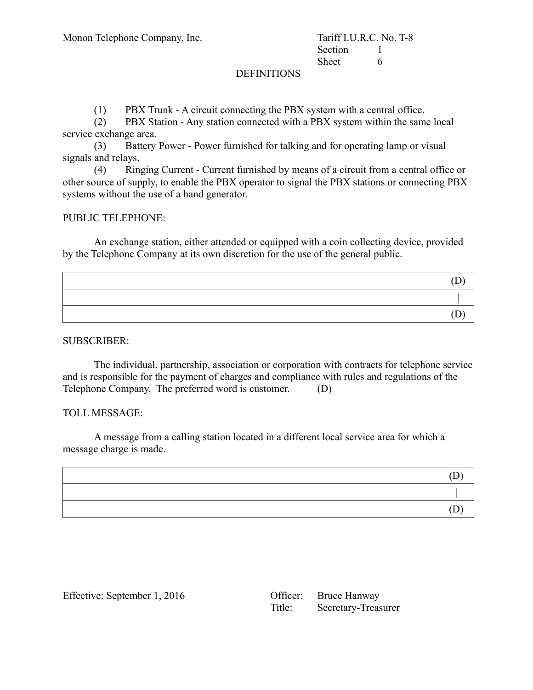#### DEFINITIONS

(1) PBX Trunk - A circuit connecting the PBX system with a central office.

(2) PBX Station - Any station connected with a PBX system within the same local service exchange area.

(3) Battery Power - Power furnished for talking and for operating lamp or visual signals and relays.

(4) Ringing Current - Current furnished by means of a circuit from a central office or other source of supply, to enable the PBX operator to signal the PBX stations or connecting PBX systems without the use of a hand generator.

#### PUBLIC TELEPHONE:

An exchange station, either attended or equipped with a coin collecting device, provided by the Telephone Company at its own discretion for the use of the general public.

SUBSCRIBER:

The individual, partnership, association or corporation with contracts for telephone service and is responsible for the payment of charges and compliance with rules and regulations of the Telephone Company. The preferred word is customer. (D)

#### TOLL MESSAGE:

A message from a calling station located in a different local service area for which a message charge is made.

Effective: September 1, 2016

| Officer: | <b>Bruce Hanway</b> |
|----------|---------------------|
| Title:   | Secretary-Treasurer |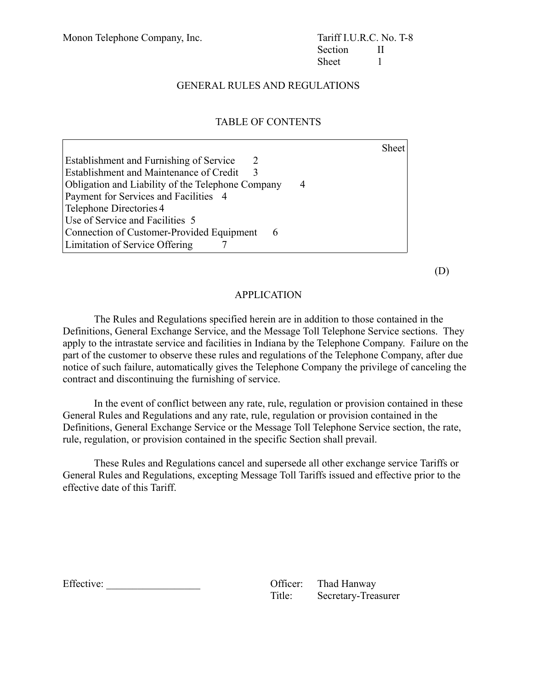# GENERAL RULES AND REGULATIONS

# TABLE OF CONTENTS

|                                                             | <b>Sheet</b> |
|-------------------------------------------------------------|--------------|
| Establishment and Furnishing of Service<br>$\sum_{i=1}^{n}$ |              |
| Establishment and Maintenance of Credit<br>3                |              |
| Obligation and Liability of the Telephone Company<br>4      |              |
| Payment for Services and Facilities 4                       |              |
| Telephone Directories 4                                     |              |
| Use of Service and Facilities 5                             |              |
| Connection of Customer-Provided Equipment<br>6              |              |
| Limitation of Service Offering                              |              |

(D)

#### APPLICATION

The Rules and Regulations specified herein are in addition to those contained in the Definitions, General Exchange Service, and the Message Toll Telephone Service sections. They apply to the intrastate service and facilities in Indiana by the Telephone Company. Failure on the part of the customer to observe these rules and regulations of the Telephone Company, after due notice of such failure, automatically gives the Telephone Company the privilege of canceling the contract and discontinuing the furnishing of service.

In the event of conflict between any rate, rule, regulation or provision contained in these General Rules and Regulations and any rate, rule, regulation or provision contained in the Definitions, General Exchange Service or the Message Toll Telephone Service section, the rate, rule, regulation, or provision contained in the specific Section shall prevail.

These Rules and Regulations cancel and supersede all other exchange service Tariffs or General Rules and Regulations, excepting Message Toll Tariffs issued and effective prior to the effective date of this Tariff.

|  | Effective: | Officer: | Thad Hanway |
|--|------------|----------|-------------|
|--|------------|----------|-------------|

| Officer: | Thad Hanway         |
|----------|---------------------|
| Title:   | Secretary-Treasurer |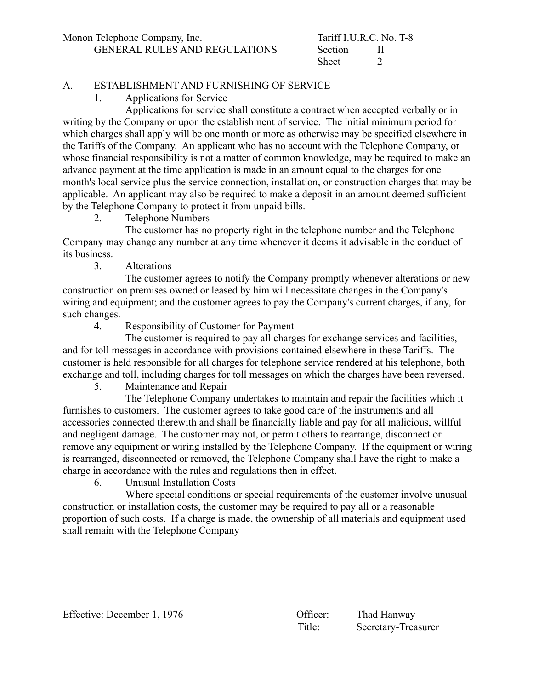# A. ESTABLISHMENT AND FURNISHING OF SERVICE

1. Applications for Service

Applications for service shall constitute a contract when accepted verbally or in writing by the Company or upon the establishment of service. The initial minimum period for which charges shall apply will be one month or more as otherwise may be specified elsewhere in the Tariffs of the Company. An applicant who has no account with the Telephone Company, or whose financial responsibility is not a matter of common knowledge, may be required to make an advance payment at the time application is made in an amount equal to the charges for one month's local service plus the service connection, installation, or construction charges that may be applicable. An applicant may also be required to make a deposit in an amount deemed sufficient by the Telephone Company to protect it from unpaid bills.

2. Telephone Numbers

The customer has no property right in the telephone number and the Telephone Company may change any number at any time whenever it deems it advisable in the conduct of its business.

3. Alterations

The customer agrees to notify the Company promptly whenever alterations or new construction on premises owned or leased by him will necessitate changes in the Company's wiring and equipment; and the customer agrees to pay the Company's current charges, if any, for such changes.

4. Responsibility of Customer for Payment

The customer is required to pay all charges for exchange services and facilities, and for toll messages in accordance with provisions contained elsewhere in these Tariffs. The customer is held responsible for all charges for telephone service rendered at his telephone, both exchange and toll, including charges for toll messages on which the charges have been reversed.

5. Maintenance and Repair

The Telephone Company undertakes to maintain and repair the facilities which it furnishes to customers. The customer agrees to take good care of the instruments and all accessories connected therewith and shall be financially liable and pay for all malicious, willful and negligent damage. The customer may not, or permit others to rearrange, disconnect or remove any equipment or wiring installed by the Telephone Company. If the equipment or wiring is rearranged, disconnected or removed, the Telephone Company shall have the right to make a charge in accordance with the rules and regulations then in effect.

6. Unusual Installation Costs

Where special conditions or special requirements of the customer involve unusual construction or installation costs, the customer may be required to pay all or a reasonable proportion of such costs. If a charge is made, the ownership of all materials and equipment used shall remain with the Telephone Company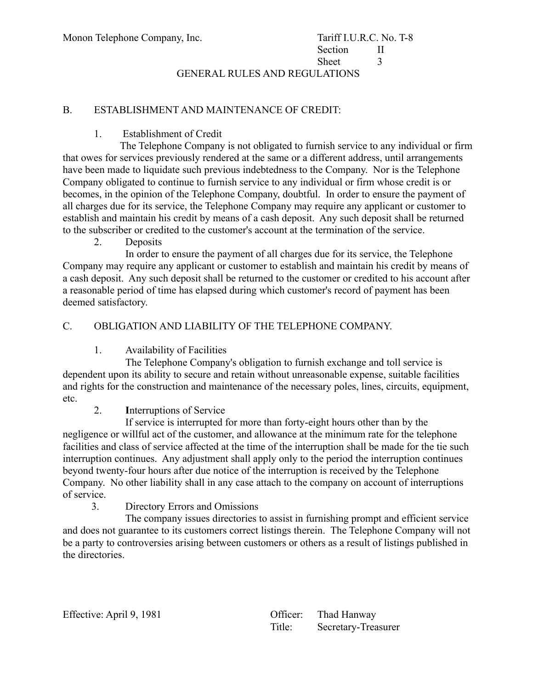GENERAL RULES AND REGULATIONS

# B. ESTABLISHMENT AND MAINTENANCE OF CREDIT:

### 1. Establishment of Credit

 The Telephone Company is not obligated to furnish service to any individual or firm that owes for services previously rendered at the same or a different address, until arrangements have been made to liquidate such previous indebtedness to the Company. Nor is the Telephone Company obligated to continue to furnish service to any individual or firm whose credit is or becomes, in the opinion of the Telephone Company, doubtful. In order to ensure the payment of all charges due for its service, the Telephone Company may require any applicant or customer to establish and maintain his credit by means of a cash deposit. Any such deposit shall be returned to the subscriber or credited to the customer's account at the termination of the service.

2. Deposits

In order to ensure the payment of all charges due for its service, the Telephone Company may require any applicant or customer to establish and maintain his credit by means of a cash deposit. Any such deposit shall be returned to the customer or credited to his account after a reasonable period of time has elapsed during which customer's record of payment has been deemed satisfactory.

# C. OBLIGATION AND LIABILITY OF THE TELEPHONE COMPANY.

1. Availability of Facilities

The Telephone Company's obligation to furnish exchange and toll service is dependent upon its ability to secure and retain without unreasonable expense, suitable facilities and rights for the construction and maintenance of the necessary poles, lines, circuits, equipment, etc.

2. **I**nterruptions of Service

If service is interrupted for more than forty-eight hours other than by the negligence or willful act of the customer, and allowance at the minimum rate for the telephone facilities and class of service affected at the time of the interruption shall be made for the tie such interruption continues. Any adjustment shall apply only to the period the interruption continues beyond twenty-four hours after due notice of the interruption is received by the Telephone Company. No other liability shall in any case attach to the company on account of interruptions of service.

3. Directory Errors and Omissions

 The company issues directories to assist in furnishing prompt and efficient service and does not guarantee to its customers correct listings therein. The Telephone Company will not be a party to controversies arising between customers or others as a result of listings published in the directories.

| Effective: April 9, 1981 |        | Officer: Thad Hanway |
|--------------------------|--------|----------------------|
|                          | Title: | Secretary-Treasurer  |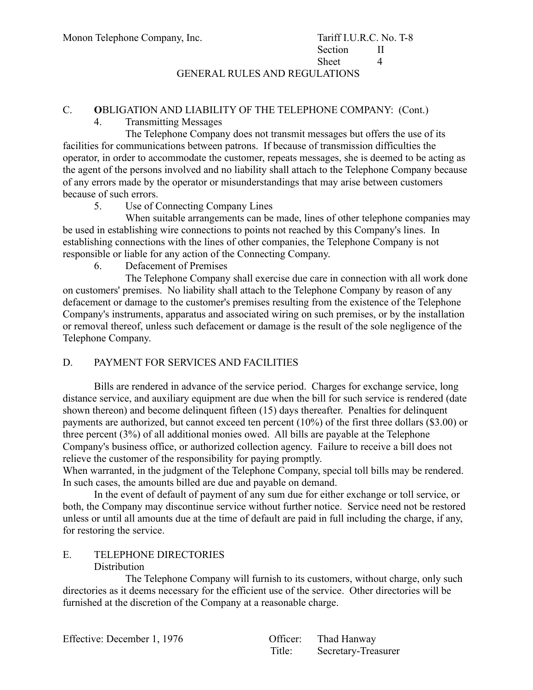GENERAL RULES AND REGULATIONS

#### C. **O**BLIGATION AND LIABILITY OF THE TELEPHONE COMPANY: (Cont.)

4. Transmitting Messages

The Telephone Company does not transmit messages but offers the use of its facilities for communications between patrons. If because of transmission difficulties the operator, in order to accommodate the customer, repeats messages, she is deemed to be acting as the agent of the persons involved and no liability shall attach to the Telephone Company because of any errors made by the operator or misunderstandings that may arise between customers because of such errors.

5. Use of Connecting Company Lines

When suitable arrangements can be made, lines of other telephone companies may be used in establishing wire connections to points not reached by this Company's lines. In establishing connections with the lines of other companies, the Telephone Company is not responsible or liable for any action of the Connecting Company.

6. Defacement of Premises

The Telephone Company shall exercise due care in connection with all work done on customers' premises. No liability shall attach to the Telephone Company by reason of any defacement or damage to the customer's premises resulting from the existence of the Telephone Company's instruments, apparatus and associated wiring on such premises, or by the installation or removal thereof, unless such defacement or damage is the result of the sole negligence of the Telephone Company.

# D. PAYMENT FOR SERVICES AND FACILITIES

Bills are rendered in advance of the service period. Charges for exchange service, long distance service, and auxiliary equipment are due when the bill for such service is rendered (date shown thereon) and become delinquent fifteen (15) days thereafter. Penalties for delinquent payments are authorized, but cannot exceed ten percent (10%) of the first three dollars (\$3.00) or three percent (3%) of all additional monies owed. All bills are payable at the Telephone Company's business office, or authorized collection agency. Failure to receive a bill does not relieve the customer of the responsibility for paying promptly.

When warranted, in the judgment of the Telephone Company, special toll bills may be rendered. In such cases, the amounts billed are due and payable on demand.

In the event of default of payment of any sum due for either exchange or toll service, or both, the Company may discontinue service without further notice. Service need not be restored unless or until all amounts due at the time of default are paid in full including the charge, if any, for restoring the service.

# E. TELEPHONE DIRECTORIES

#### **Distribution**

The Telephone Company will furnish to its customers, without charge, only such directories as it deems necessary for the efficient use of the service. Other directories will be furnished at the discretion of the Company at a reasonable charge.

Effective: December 1, 1976

| Officer: | Thad Hanway         |
|----------|---------------------|
| Title:   | Secretary-Treasurer |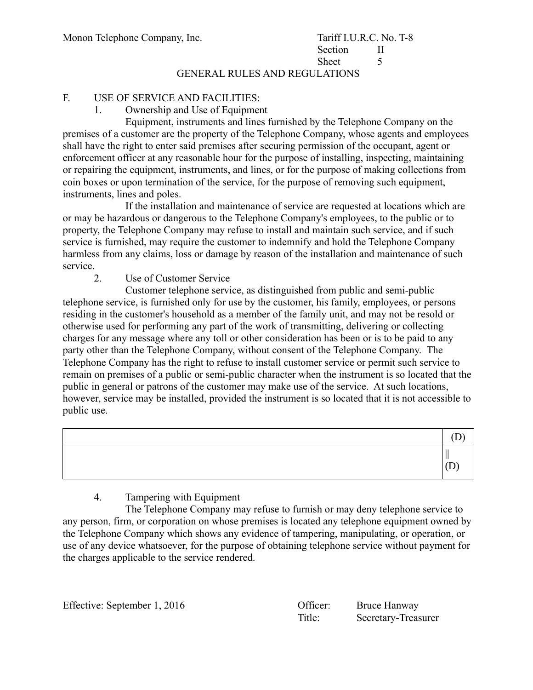# GENERAL RULES AND REGULATIONS

# F. USE OF SERVICE AND FACILITIES:

1. Ownership and Use of Equipment

Equipment, instruments and lines furnished by the Telephone Company on the premises of a customer are the property of the Telephone Company, whose agents and employees shall have the right to enter said premises after securing permission of the occupant, agent or enforcement officer at any reasonable hour for the purpose of installing, inspecting, maintaining or repairing the equipment, instruments, and lines, or for the purpose of making collections from coin boxes or upon termination of the service, for the purpose of removing such equipment, instruments, lines and poles.

If the installation and maintenance of service are requested at locations which are or may be hazardous or dangerous to the Telephone Company's employees, to the public or to property, the Telephone Company may refuse to install and maintain such service, and if such service is furnished, may require the customer to indemnify and hold the Telephone Company harmless from any claims, loss or damage by reason of the installation and maintenance of such service.

#### 2. Use of Customer Service

Customer telephone service, as distinguished from public and semi-public telephone service, is furnished only for use by the customer, his family, employees, or persons residing in the customer's household as a member of the family unit, and may not be resold or otherwise used for performing any part of the work of transmitting, delivering or collecting charges for any message where any toll or other consideration has been or is to be paid to any party other than the Telephone Company, without consent of the Telephone Company. The Telephone Company has the right to refuse to install customer service or permit such service to remain on premises of a public or semi-public character when the instrument is so located that the public in general or patrons of the customer may make use of the service. At such locations, however, service may be installed, provided the instrument is so located that it is not accessible to public use.

# 4. Tampering with Equipment

The Telephone Company may refuse to furnish or may deny telephone service to any person, firm, or corporation on whose premises is located any telephone equipment owned by the Telephone Company which shows any evidence of tampering, manipulating, or operation, or use of any device whatsoever, for the purpose of obtaining telephone service without payment for the charges applicable to the service rendered.

Effective: September 1, 2016 Officer: Bruce Hanway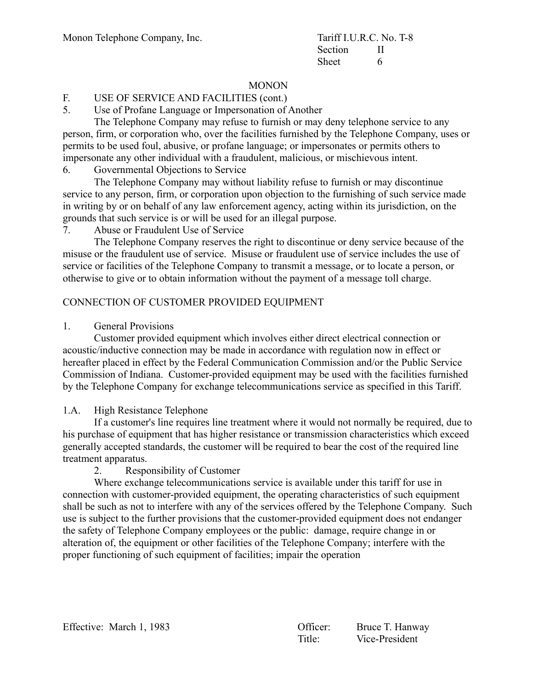# **MONON**

# F. USE OF SERVICE AND FACILITIES (cont.)

5. Use of Profane Language or Impersonation of Another

The Telephone Company may refuse to furnish or may deny telephone service to any person, firm, or corporation who, over the facilities furnished by the Telephone Company, uses or permits to be used foul, abusive, or profane language; or impersonates or permits others to impersonate any other individual with a fraudulent, malicious, or mischievous intent.

6. Governmental Objections to Service

The Telephone Company may without liability refuse to furnish or may discontinue service to any person, firm, or corporation upon objection to the furnishing of such service made in writing by or on behalf of any law enforcement agency, acting within its jurisdiction, on the grounds that such service is or will be used for an illegal purpose.

7. Abuse or Fraudulent Use of Service

The Telephone Company reserves the right to discontinue or deny service because of the misuse or the fraudulent use of service. Misuse or fraudulent use of service includes the use of service or facilities of the Telephone Company to transmit a message, or to locate a person, or otherwise to give or to obtain information without the payment of a message toll charge.

# CONNECTION OF CUSTOMER PROVIDED EQUIPMENT

### 1. General Provisions

Customer provided equipment which involves either direct electrical connection or acoustic/inductive connection may be made in accordance with regulation now in effect or hereafter placed in effect by the Federal Communication Commission and/or the Public Service Commission of Indiana. Customer-provided equipment may be used with the facilities furnished by the Telephone Company for exchange telecommunications service as specified in this Tariff.

# 1.A. High Resistance Telephone

If a customer's line requires line treatment where it would not normally be required, due to his purchase of equipment that has higher resistance or transmission characteristics which exceed generally accepted standards, the customer will be required to bear the cost of the required line treatment apparatus.

2. Responsibility of Customer

Where exchange telecommunications service is available under this tariff for use in connection with customer-provided equipment, the operating characteristics of such equipment shall be such as not to interfere with any of the services offered by the Telephone Company. Such use is subject to the further provisions that the customer-provided equipment does not endanger the safety of Telephone Company employees or the public: damage, require change in or alteration of, the equipment or other facilities of the Telephone Company; interfere with the proper functioning of such equipment of facilities; impair the operation

| Effective: March 1, 1983 |  |  |  |
|--------------------------|--|--|--|
|--------------------------|--|--|--|

Officer: Bruce T. Hanway Title: Vice-President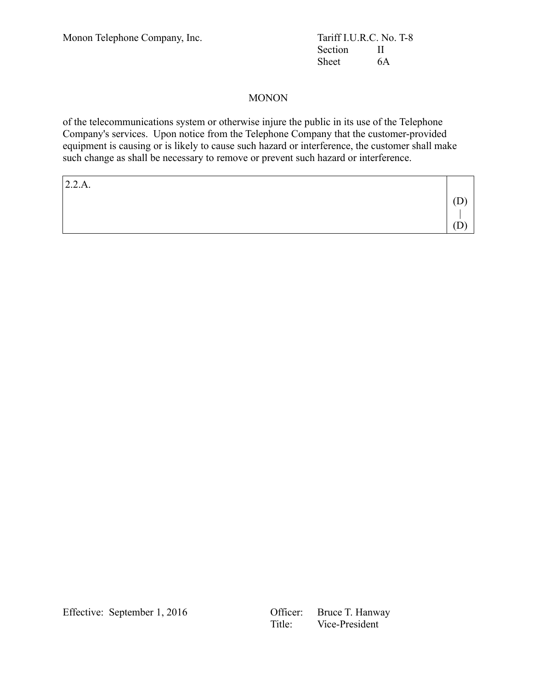Section II Sheet 6A

# MONON

of the telecommunications system or otherwise injure the public in its use of the Telephone Company's services. Upon notice from the Telephone Company that the customer-provided equipment is causing or is likely to cause such hazard or interference, the customer shall make such change as shall be necessary to remove or prevent such hazard or interference.

| 2.2.A. |  |
|--------|--|
|        |  |
|        |  |
|        |  |

Effective: September 1, 2016

| Officer: | Bruce T. Hanway |
|----------|-----------------|
| Title:   | Vice-President  |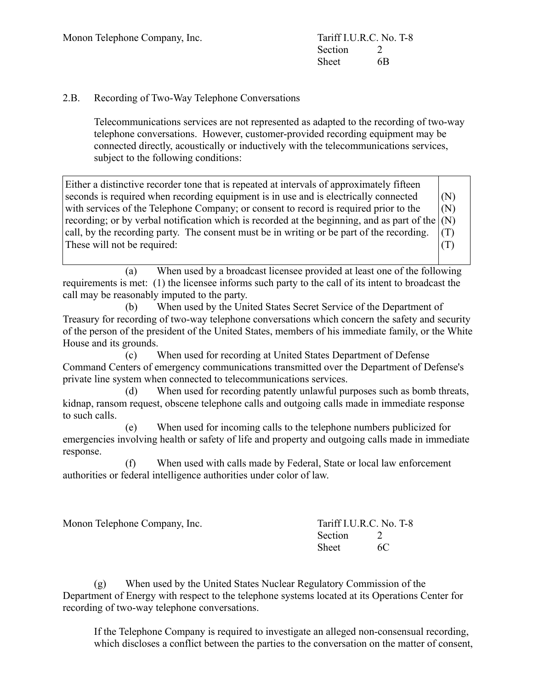# 2.B. Recording of Two-Way Telephone Conversations

Telecommunications services are not represented as adapted to the recording of two-way telephone conversations. However, customer-provided recording equipment may be connected directly, acoustically or inductively with the telecommunications services, subject to the following conditions:

Either a distinctive recorder tone that is repeated at intervals of approximately fifteen seconds is required when recording equipment is in use and is electrically connected with services of the Telephone Company; or consent to record is required prior to the recording; or by verbal notification which is recorded at the beginning, and as part of the call, by the recording party. The consent must be in writing or be part of the recording. These will not be required: (N) (N) (N) (T) (T)

(a) When used by a broadcast licensee provided at least one of the following requirements is met: (1) the licensee informs such party to the call of its intent to broadcast the call may be reasonably imputed to the party.

(b) When used by the United States Secret Service of the Department of Treasury for recording of two-way telephone conversations which concern the safety and security of the person of the president of the United States, members of his immediate family, or the White House and its grounds.

(c) When used for recording at United States Department of Defense Command Centers of emergency communications transmitted over the Department of Defense's private line system when connected to telecommunications services.

(d) When used for recording patently unlawful purposes such as bomb threats, kidnap, ransom request, obscene telephone calls and outgoing calls made in immediate response to such calls.

(e) When used for incoming calls to the telephone numbers publicized for emergencies involving health or safety of life and property and outgoing calls made in immediate response.

(f) When used with calls made by Federal, State or local law enforcement authorities or federal intelligence authorities under color of law.

Monon Telephone Company, Inc. Tariff I.U.R.C. No. T-8

Section 2 Sheet 6C

(g) When used by the United States Nuclear Regulatory Commission of the Department of Energy with respect to the telephone systems located at its Operations Center for recording of two-way telephone conversations.

If the Telephone Company is required to investigate an alleged non-consensual recording, which discloses a conflict between the parties to the conversation on the matter of consent,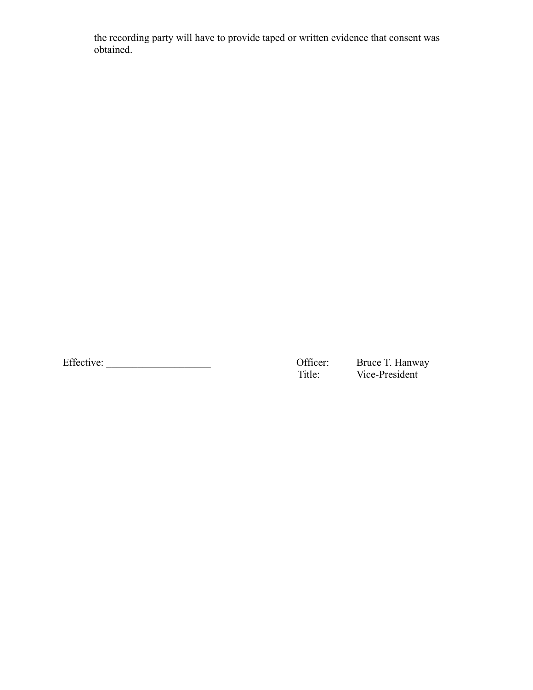the recording party will have to provide taped or written evidence that consent was obtained.

Effective: \_\_\_\_\_\_\_\_\_\_\_\_\_\_\_\_\_\_\_\_ Officer: Bruce T. Hanway

Bruce T. Hanway<br>Vice-President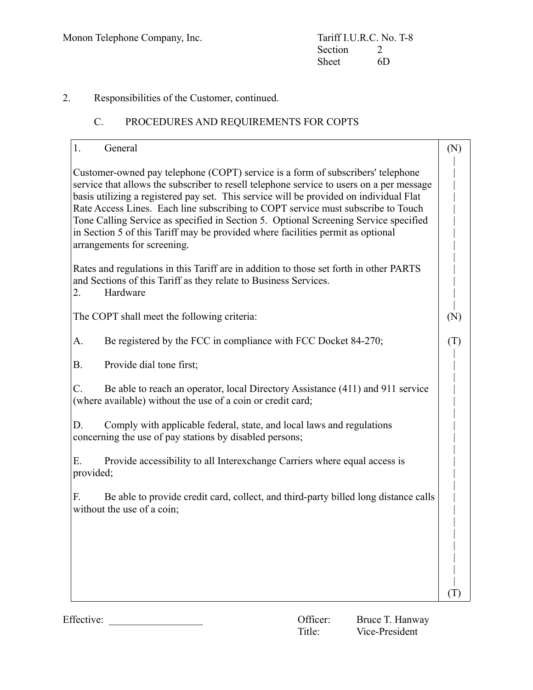# 2. Responsibilities of the Customer, continued.

# C. PROCEDURES AND REQUIREMENTS FOR COPTS

| General<br>1.                                                                                                                                                                                                                                                                                                                                                                                                                                                                                                                                                       | (N) |
|---------------------------------------------------------------------------------------------------------------------------------------------------------------------------------------------------------------------------------------------------------------------------------------------------------------------------------------------------------------------------------------------------------------------------------------------------------------------------------------------------------------------------------------------------------------------|-----|
| Customer-owned pay telephone (COPT) service is a form of subscribers' telephone<br>service that allows the subscriber to resell telephone service to users on a per message<br>basis utilizing a registered pay set. This service will be provided on individual Flat<br>Rate Access Lines. Each line subscribing to COPT service must subscribe to Touch<br>Tone Calling Service as specified in Section 5. Optional Screening Service specified<br>in Section 5 of this Tariff may be provided where facilities permit as optional<br>arrangements for screening. |     |
| Rates and regulations in this Tariff are in addition to those set forth in other PARTS<br>and Sections of this Tariff as they relate to Business Services.<br>Hardware<br>2.                                                                                                                                                                                                                                                                                                                                                                                        |     |
| The COPT shall meet the following criteria:                                                                                                                                                                                                                                                                                                                                                                                                                                                                                                                         | (N) |
| Be registered by the FCC in compliance with FCC Docket 84-270;<br>А.                                                                                                                                                                                                                                                                                                                                                                                                                                                                                                | (T) |
| Provide dial tone first;<br><b>B.</b>                                                                                                                                                                                                                                                                                                                                                                                                                                                                                                                               |     |
| Be able to reach an operator, local Directory Assistance (411) and 911 service<br>C.<br>(where available) without the use of a coin or credit card;                                                                                                                                                                                                                                                                                                                                                                                                                 |     |
| D.<br>Comply with applicable federal, state, and local laws and regulations<br>concerning the use of pay stations by disabled persons;                                                                                                                                                                                                                                                                                                                                                                                                                              |     |
| Ε.<br>Provide accessibility to all Interexchange Carriers where equal access is<br>provided;                                                                                                                                                                                                                                                                                                                                                                                                                                                                        |     |
| Be able to provide credit card, collect, and third-party billed long distance calls<br>F.<br>without the use of a coin;                                                                                                                                                                                                                                                                                                                                                                                                                                             |     |
|                                                                                                                                                                                                                                                                                                                                                                                                                                                                                                                                                                     |     |
|                                                                                                                                                                                                                                                                                                                                                                                                                                                                                                                                                                     |     |
|                                                                                                                                                                                                                                                                                                                                                                                                                                                                                                                                                                     |     |
|                                                                                                                                                                                                                                                                                                                                                                                                                                                                                                                                                                     |     |

Effective: \_\_\_\_\_\_\_\_\_\_\_\_\_\_\_\_\_\_ Officer: Bruce T. Hanway

Bruce T. Hanway<br>Vice-President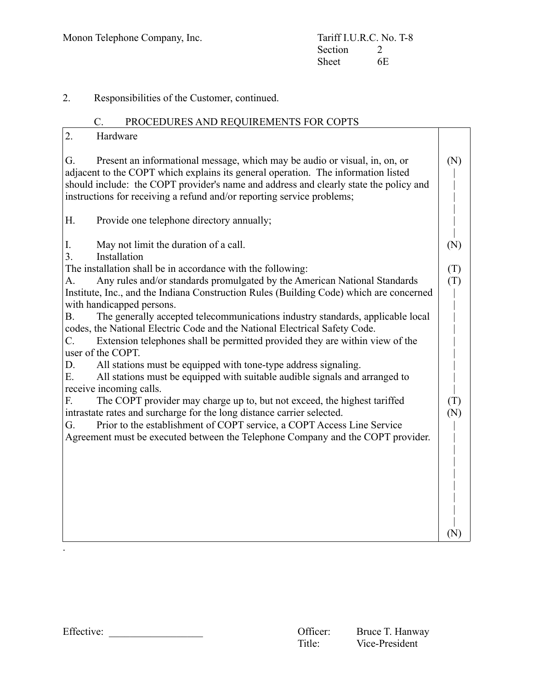2. Responsibilities of the Customer, continued.

# C. PROCEDURES AND REQUIREMENTS FOR COPTS

| 2.<br>Hardware                                                                                                                                                                                                                                                                                                                           |     |
|------------------------------------------------------------------------------------------------------------------------------------------------------------------------------------------------------------------------------------------------------------------------------------------------------------------------------------------|-----|
| Present an informational message, which may be audio or visual, in, on, or<br>G.<br>adjacent to the COPT which explains its general operation. The information listed<br>should include: the COPT provider's name and address and clearly state the policy and<br>instructions for receiving a refund and/or reporting service problems; | (N) |
| H.<br>Provide one telephone directory annually;                                                                                                                                                                                                                                                                                          |     |
| May not limit the duration of a call.<br>I.                                                                                                                                                                                                                                                                                              | (N) |
| Installation<br>3.                                                                                                                                                                                                                                                                                                                       |     |
| The installation shall be in accordance with the following:                                                                                                                                                                                                                                                                              | (T) |
| Any rules and/or standards promulgated by the American National Standards<br>A.                                                                                                                                                                                                                                                          | (T) |
| Institute, Inc., and the Indiana Construction Rules (Building Code) which are concerned                                                                                                                                                                                                                                                  |     |
| with handicapped persons.                                                                                                                                                                                                                                                                                                                |     |
| The generally accepted telecommunications industry standards, applicable local<br><b>B.</b>                                                                                                                                                                                                                                              |     |
| codes, the National Electric Code and the National Electrical Safety Code.                                                                                                                                                                                                                                                               |     |
| Extension telephones shall be permitted provided they are within view of the<br>C.                                                                                                                                                                                                                                                       |     |
| user of the COPT.                                                                                                                                                                                                                                                                                                                        |     |
| All stations must be equipped with tone-type address signaling.<br>D.                                                                                                                                                                                                                                                                    |     |
| All stations must be equipped with suitable audible signals and arranged to<br>E.                                                                                                                                                                                                                                                        |     |
| receive incoming calls.                                                                                                                                                                                                                                                                                                                  |     |
| The COPT provider may charge up to, but not exceed, the highest tariffed<br>F.                                                                                                                                                                                                                                                           | (T) |
| intrastate rates and surcharge for the long distance carrier selected.                                                                                                                                                                                                                                                                   | (N) |
| Prior to the establishment of COPT service, a COPT Access Line Service<br>G.                                                                                                                                                                                                                                                             |     |
| Agreement must be executed between the Telephone Company and the COPT provider.                                                                                                                                                                                                                                                          |     |
|                                                                                                                                                                                                                                                                                                                                          |     |
|                                                                                                                                                                                                                                                                                                                                          |     |
|                                                                                                                                                                                                                                                                                                                                          |     |
|                                                                                                                                                                                                                                                                                                                                          |     |
|                                                                                                                                                                                                                                                                                                                                          |     |
|                                                                                                                                                                                                                                                                                                                                          |     |
|                                                                                                                                                                                                                                                                                                                                          | (N) |
|                                                                                                                                                                                                                                                                                                                                          |     |

.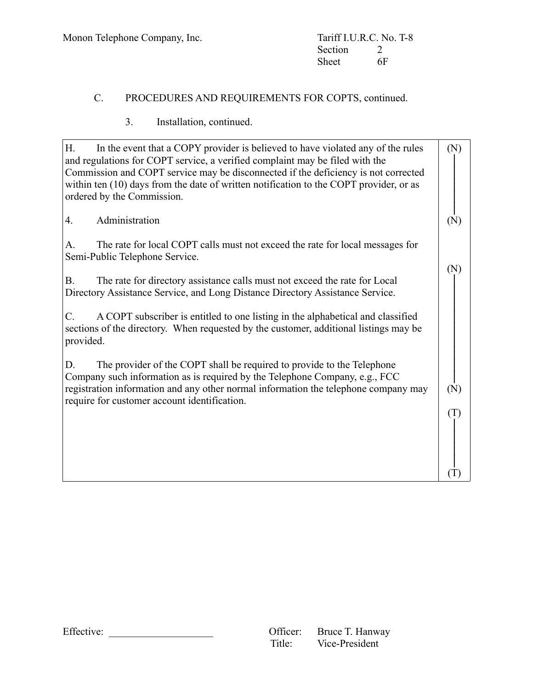# C. PROCEDURES AND REQUIREMENTS FOR COPTS, continued.

# 3. Installation, continued.

| H.<br>In the event that a COPY provider is believed to have violated any of the rules<br>and regulations for COPT service, a verified complaint may be filed with the<br>Commission and COPT service may be disconnected if the deficiency is not corrected<br>within ten (10) days from the date of written notification to the COPT provider, or as<br>ordered by the Commission. | (N) |
|-------------------------------------------------------------------------------------------------------------------------------------------------------------------------------------------------------------------------------------------------------------------------------------------------------------------------------------------------------------------------------------|-----|
| Administration<br>4.                                                                                                                                                                                                                                                                                                                                                                | (N) |
| The rate for local COPT calls must not exceed the rate for local messages for<br>A.<br>Semi-Public Telephone Service.                                                                                                                                                                                                                                                               |     |
| The rate for directory assistance calls must not exceed the rate for Local<br><b>B.</b><br>Directory Assistance Service, and Long Distance Directory Assistance Service.                                                                                                                                                                                                            | (N) |
| A COPT subscriber is entitled to one listing in the alphabetical and classified<br>C.<br>sections of the directory. When requested by the customer, additional listings may be<br>provided.                                                                                                                                                                                         |     |
| The provider of the COPT shall be required to provide to the Telephone<br>D.<br>Company such information as is required by the Telephone Company, e.g., FCC                                                                                                                                                                                                                         |     |
| registration information and any other normal information the telephone company may<br>require for customer account identification.                                                                                                                                                                                                                                                 | (N) |
|                                                                                                                                                                                                                                                                                                                                                                                     | (T) |
|                                                                                                                                                                                                                                                                                                                                                                                     |     |
|                                                                                                                                                                                                                                                                                                                                                                                     |     |

Effective: \_\_\_\_\_\_\_\_\_\_\_\_\_\_\_\_\_\_\_\_ Officer: Bruce T. Hanway Vice-President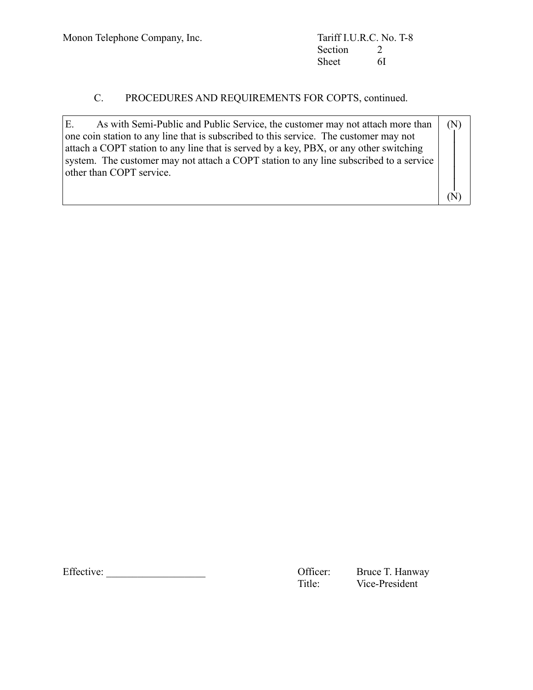Section 2<br>Sheet 6I Sheet

# C. PROCEDURES AND REQUIREMENTS FOR COPTS, continued.

| E.<br>As with Semi-Public and Public Service, the customer may not attach more than    | (N) |  |
|----------------------------------------------------------------------------------------|-----|--|
| one coin station to any line that is subscribed to this service. The customer may not  |     |  |
| attach a COPT station to any line that is served by a key, PBX, or any other switching |     |  |
| system. The customer may not attach a COPT station to any line subscribed to a service |     |  |
| other than COPT service.                                                               |     |  |
|                                                                                        |     |  |
|                                                                                        |     |  |

Effective: \_\_\_\_\_\_\_\_\_\_\_\_\_\_\_\_\_\_\_ Officer: Bruce T. Hanway

Bruce T. Hanway<br>Vice-President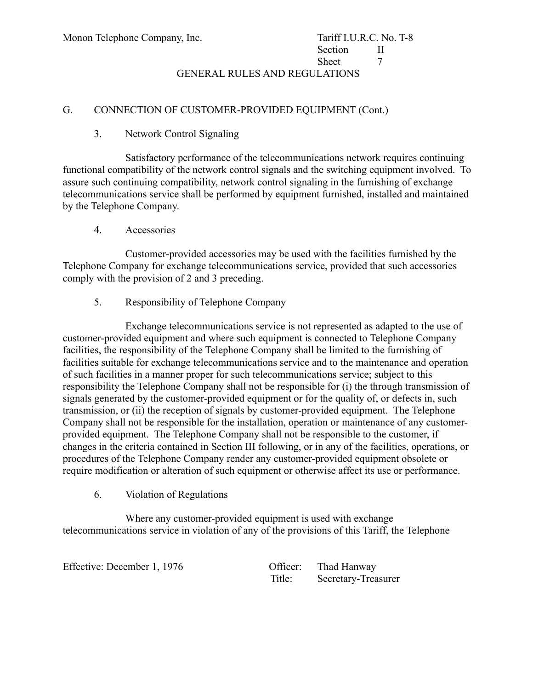GENERAL RULES AND REGULATIONS

# G. CONNECTION OF CUSTOMER-PROVIDED EQUIPMENT (Cont.)

# 3. Network Control Signaling

Satisfactory performance of the telecommunications network requires continuing functional compatibility of the network control signals and the switching equipment involved. To assure such continuing compatibility, network control signaling in the furnishing of exchange telecommunications service shall be performed by equipment furnished, installed and maintained by the Telephone Company.

4. Accessories

Customer-provided accessories may be used with the facilities furnished by the Telephone Company for exchange telecommunications service, provided that such accessories comply with the provision of 2 and 3 preceding.

5. Responsibility of Telephone Company

Exchange telecommunications service is not represented as adapted to the use of customer-provided equipment and where such equipment is connected to Telephone Company facilities, the responsibility of the Telephone Company shall be limited to the furnishing of facilities suitable for exchange telecommunications service and to the maintenance and operation of such facilities in a manner proper for such telecommunications service; subject to this responsibility the Telephone Company shall not be responsible for (i) the through transmission of signals generated by the customer-provided equipment or for the quality of, or defects in, such transmission, or (ii) the reception of signals by customer-provided equipment. The Telephone Company shall not be responsible for the installation, operation or maintenance of any customerprovided equipment. The Telephone Company shall not be responsible to the customer, if changes in the criteria contained in Section III following, or in any of the facilities, operations, or procedures of the Telephone Company render any customer-provided equipment obsolete or require modification or alteration of such equipment or otherwise affect its use or performance.

6. Violation of Regulations

Where any customer-provided equipment is used with exchange telecommunications service in violation of any of the provisions of this Tariff, the Telephone

Effective: December 1, 1976 Queen Officer: Thad Hanway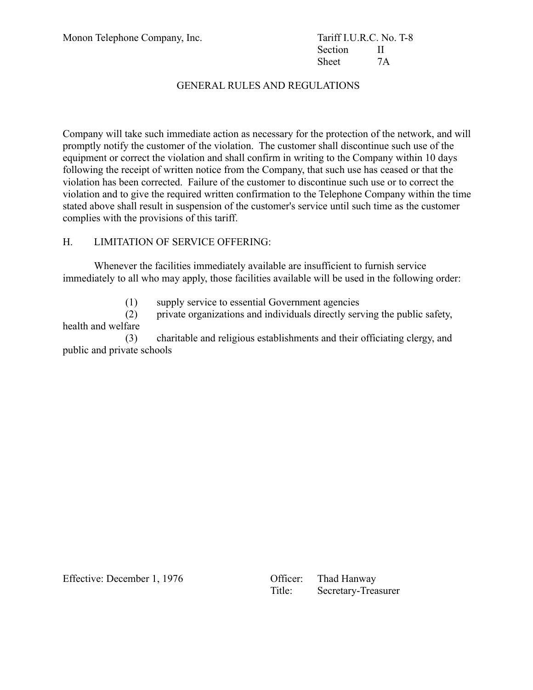Section II Sheet 7A

# GENERAL RULES AND REGULATIONS

Company will take such immediate action as necessary for the protection of the network, and will promptly notify the customer of the violation. The customer shall discontinue such use of the equipment or correct the violation and shall confirm in writing to the Company within 10 days following the receipt of written notice from the Company, that such use has ceased or that the violation has been corrected. Failure of the customer to discontinue such use or to correct the violation and to give the required written confirmation to the Telephone Company within the time stated above shall result in suspension of the customer's service until such time as the customer complies with the provisions of this tariff.

#### H. LIMITATION OF SERVICE OFFERING:

Whenever the facilities immediately available are insufficient to furnish service immediately to all who may apply, those facilities available will be used in the following order:

(1) supply service to essential Government agencies

(2) private organizations and individuals directly serving the public safety, health and welfare

(3) charitable and religious establishments and their officiating clergy, and public and private schools

Effective: December 1, 1976 Queen Officer: Thad Hanway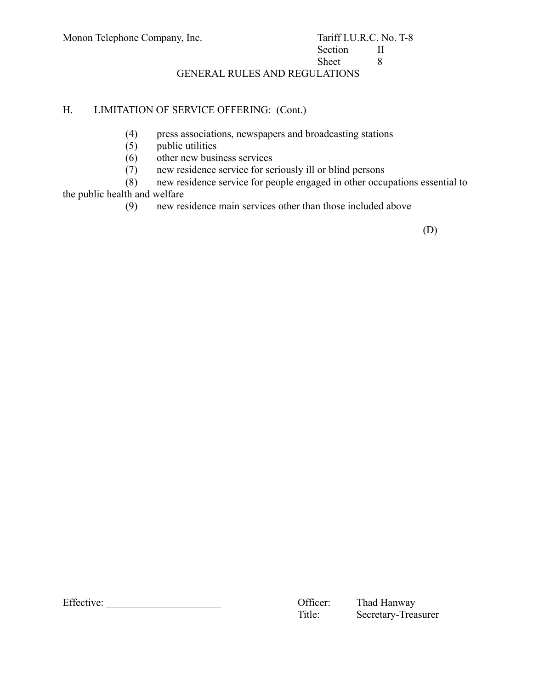# Section II Sheet 8

GENERAL RULES AND REGULATIONS

# H. LIMITATION OF SERVICE OFFERING: (Cont.)

- (4) press associations, newspapers and broadcasting stations
- (5) public utilities
- (6) other new business services
- (7) new residence service for seriously ill or blind persons

(8) new residence service for people engaged in other occupations essential to the public health and welfare

(9) new residence main services other than those included above

(D)

Effective: \_\_\_\_\_\_\_\_\_\_\_\_\_\_\_\_\_\_\_\_\_\_ Officer: Thad Hanway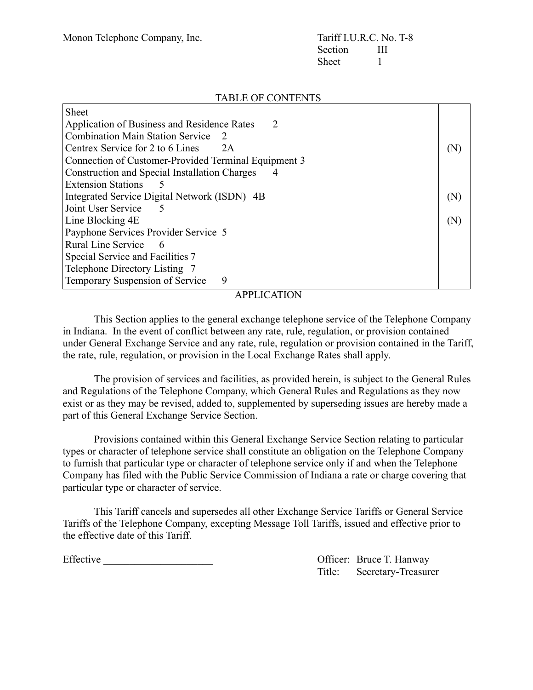### TABLE OF CONTENTS

| <b>Sheet</b>                                         |                |
|------------------------------------------------------|----------------|
| Application of Business and Residence Rates<br>2     |                |
| Combination Main Station Service<br>$\mathcal{L}$    |                |
| Centrex Service for 2 to 6 Lines<br>2A               | $(\mathbb{N})$ |
| Connection of Customer-Provided Terminal Equipment 3 |                |
| <b>Construction and Special Installation Charges</b> |                |
| <b>Extension Stations</b>                            |                |
| Integrated Service Digital Network (ISDN) 4B         |                |
| Joint User Service                                   |                |
| Line Blocking 4E<br>(N)                              |                |
| Payphone Services Provider Service 5                 |                |
| Rural Line Service<br>- 6                            |                |
| Special Service and Facilities 7                     |                |
| Telephone Directory Listing 7                        |                |
| Temporary Suspension of Service<br>9                 |                |

#### APPLICATION

This Section applies to the general exchange telephone service of the Telephone Company in Indiana. In the event of conflict between any rate, rule, regulation, or provision contained under General Exchange Service and any rate, rule, regulation or provision contained in the Tariff, the rate, rule, regulation, or provision in the Local Exchange Rates shall apply.

The provision of services and facilities, as provided herein, is subject to the General Rules and Regulations of the Telephone Company, which General Rules and Regulations as they now exist or as they may be revised, added to, supplemented by superseding issues are hereby made a part of this General Exchange Service Section.

Provisions contained within this General Exchange Service Section relating to particular types or character of telephone service shall constitute an obligation on the Telephone Company to furnish that particular type or character of telephone service only if and when the Telephone Company has filed with the Public Service Commission of Indiana a rate or charge covering that particular type or character of service.

This Tariff cancels and supersedes all other Exchange Service Tariffs or General Service Tariffs of the Telephone Company, excepting Message Toll Tariffs, issued and effective prior to the effective date of this Tariff.

Effective \_\_\_\_\_\_\_\_\_\_\_\_\_\_\_\_\_\_\_\_\_ Officer: Bruce T. Hanway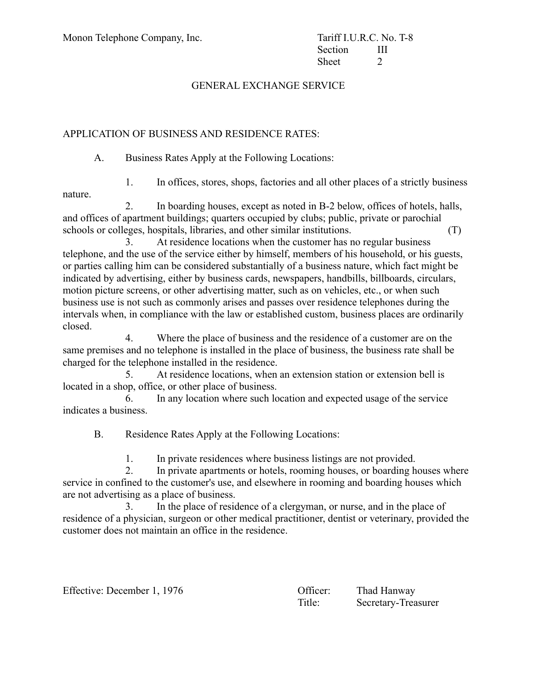# GENERAL EXCHANGE SERVICE

# APPLICATION OF BUSINESS AND RESIDENCE RATES:

A. Business Rates Apply at the Following Locations:

1. In offices, stores, shops, factories and all other places of a strictly business nature.

2. In boarding houses, except as noted in B-2 below, offices of hotels, halls, and offices of apartment buildings; quarters occupied by clubs; public, private or parochial schools or colleges, hospitals, libraries, and other similar institutions. (T)

3. At residence locations when the customer has no regular business telephone, and the use of the service either by himself, members of his household, or his guests, or parties calling him can be considered substantially of a business nature, which fact might be indicated by advertising, either by business cards, newspapers, handbills, billboards, circulars, motion picture screens, or other advertising matter, such as on vehicles, etc., or when such business use is not such as commonly arises and passes over residence telephones during the intervals when, in compliance with the law or established custom, business places are ordinarily closed.

4. Where the place of business and the residence of a customer are on the same premises and no telephone is installed in the place of business, the business rate shall be charged for the telephone installed in the residence.

5. At residence locations, when an extension station or extension bell is located in a shop, office, or other place of business.

6. In any location where such location and expected usage of the service indicates a business.

B. Residence Rates Apply at the Following Locations:

1. In private residences where business listings are not provided.

2. In private apartments or hotels, rooming houses, or boarding houses where service in confined to the customer's use, and elsewhere in rooming and boarding houses which are not advertising as a place of business.

3. In the place of residence of a clergyman, or nurse, and in the place of residence of a physician, surgeon or other medical practitioner, dentist or veterinary, provided the customer does not maintain an office in the residence.

Effective: December 1, 1976 Chicago Company Company Chicago Chicago Chicago Chicago Chicago Chicago Chicago Chicago Chicago Chicago Chicago Chicago Chicago Chicago Chicago Chicago Chicago Chicago Chicago Chicago Chicago Ch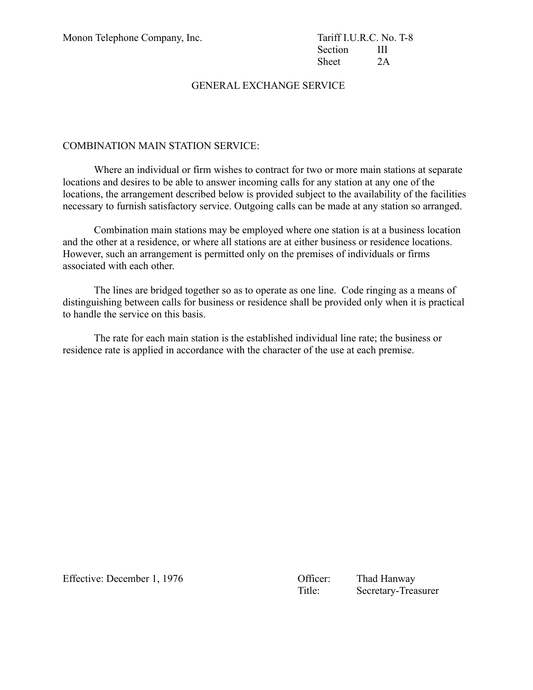Section **III** Sheet 2A

### GENERAL EXCHANGE SERVICE

#### COMBINATION MAIN STATION SERVICE:

Where an individual or firm wishes to contract for two or more main stations at separate locations and desires to be able to answer incoming calls for any station at any one of the locations, the arrangement described below is provided subject to the availability of the facilities necessary to furnish satisfactory service. Outgoing calls can be made at any station so arranged.

Combination main stations may be employed where one station is at a business location and the other at a residence, or where all stations are at either business or residence locations. However, such an arrangement is permitted only on the premises of individuals or firms associated with each other.

The lines are bridged together so as to operate as one line. Code ringing as a means of distinguishing between calls for business or residence shall be provided only when it is practical to handle the service on this basis.

The rate for each main station is the established individual line rate; the business or residence rate is applied in accordance with the character of the use at each premise.

Effective: December 1, 1976 Chicago Contract Contract Contract Contract Contract Contract Contract Contract Contract Contract Contract Contract Contract Contract Contract Contract Contract Contract Contract Contract Contra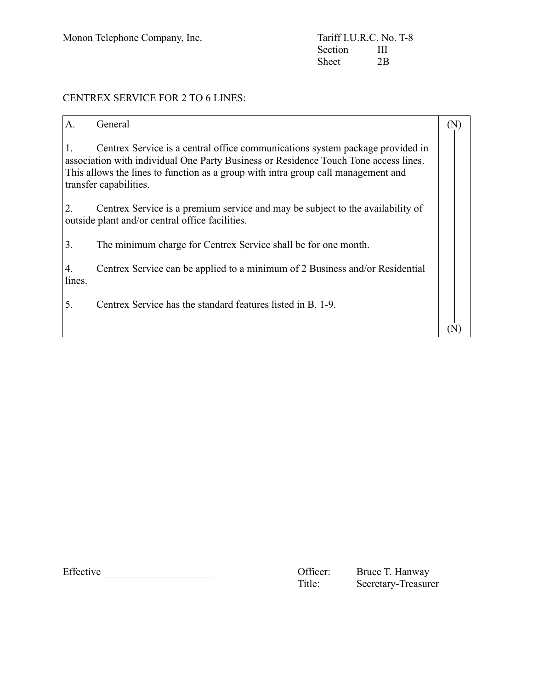# CENTREX SERVICE FOR 2 TO 6 LINES:

| $\mathbf{A}$ .   | General                                                                                                                                                                                                                                                                              |  |
|------------------|--------------------------------------------------------------------------------------------------------------------------------------------------------------------------------------------------------------------------------------------------------------------------------------|--|
|                  | Centrex Service is a central office communications system package provided in<br>association with individual One Party Business or Residence Touch Tone access lines.<br>This allows the lines to function as a group with intra group call management and<br>transfer capabilities. |  |
| 2.               | Centrex Service is a premium service and may be subject to the availability of<br>outside plant and/or central office facilities.                                                                                                                                                    |  |
| $\overline{3}$ . | The minimum charge for Centrex Service shall be for one month.                                                                                                                                                                                                                       |  |
| 4.<br>lines.     | Centrex Service can be applied to a minimum of 2 Business and/or Residential                                                                                                                                                                                                         |  |
| 5.               | Centrex Service has the standard features listed in B. 1-9.                                                                                                                                                                                                                          |  |
|                  |                                                                                                                                                                                                                                                                                      |  |

Effective Contraction Contraction Contraction Contraction Contraction Contraction Contraction Contraction Contraction Contraction Contraction Contraction Contraction Contraction Contraction Contraction Contraction Contract

Bruce T. Hanway<br>Secretary-Treasurer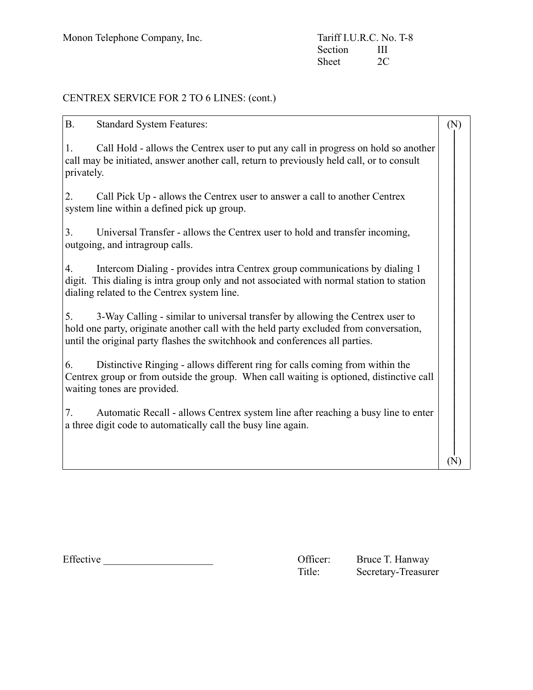## CENTREX SERVICE FOR 2 TO 6 LINES: (cont.)

| <b>B.</b><br><b>Standard System Features:</b>                                                                                                                                                                                                                 | (N) |  |
|---------------------------------------------------------------------------------------------------------------------------------------------------------------------------------------------------------------------------------------------------------------|-----|--|
| Call Hold - allows the Centrex user to put any call in progress on hold so another<br>1.<br>call may be initiated, answer another call, return to previously held call, or to consult<br>privately.                                                           |     |  |
| Call Pick Up - allows the Centrex user to answer a call to another Centrex<br>2.<br>system line within a defined pick up group.                                                                                                                               |     |  |
| 3.<br>Universal Transfer - allows the Centrex user to hold and transfer incoming,<br>outgoing, and intragroup calls.                                                                                                                                          |     |  |
| Intercom Dialing - provides intra Centrex group communications by dialing 1<br>4.<br>digit. This dialing is intra group only and not associated with normal station to station<br>dialing related to the Centrex system line.                                 |     |  |
| 5.<br>3-Way Calling - similar to universal transfer by allowing the Centrex user to<br>hold one party, originate another call with the held party excluded from conversation,<br>until the original party flashes the switchhook and conferences all parties. |     |  |
| Distinctive Ringing - allows different ring for calls coming from within the<br>6.<br>Centrex group or from outside the group. When call waiting is optioned, distinctive call<br>waiting tones are provided.                                                 |     |  |
| Automatic Recall - allows Centrex system line after reaching a busy line to enter<br>7.<br>a three digit code to automatically call the busy line again.                                                                                                      |     |  |
|                                                                                                                                                                                                                                                               |     |  |

| Effective | Jtticer: | Bruce T. Hanway |
|-----------|----------|-----------------|
|-----------|----------|-----------------|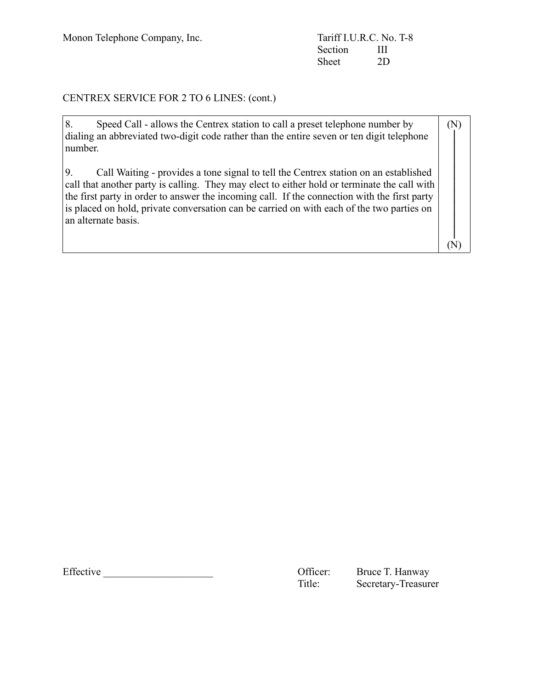Monon Telephone Company, Inc. Tariff I.U.R.C. No. T-8<br>Section III Section III<br>Sheet 2D Sheet

## CENTREX SERVICE FOR 2 TO 6 LINES: (cont.)

| 8.<br>Speed Call - allows the Centrex station to call a preset telephone number by<br>dialing an abbreviated two-digit code rather than the entire seven or ten digit telephone<br>number.                                                                                                                                                                                                              | (N) |
|---------------------------------------------------------------------------------------------------------------------------------------------------------------------------------------------------------------------------------------------------------------------------------------------------------------------------------------------------------------------------------------------------------|-----|
| Call Waiting - provides a tone signal to tell the Centrex station on an established<br>call that another party is calling. They may elect to either hold or terminate the call with<br>the first party in order to answer the incoming call. If the connection with the first party<br>is placed on hold, private conversation can be carried on with each of the two parties on<br>an alternate basis. |     |
|                                                                                                                                                                                                                                                                                                                                                                                                         |     |

Effective \_\_\_\_\_\_\_\_\_\_\_\_\_\_\_\_\_\_\_\_\_ Officer: Bruce T. Hanway

Secretary-Treasurer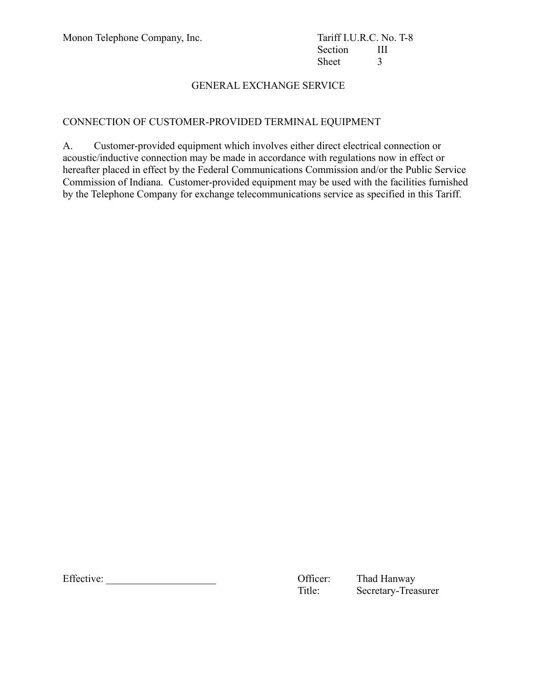### CONNECTION OF CUSTOMER-PROVIDED TERMINAL EQUIPMENT

A. Customer-provided equipment which involves either direct electrical connection or acoustic/inductive connection may be made in accordance with regulations now in effect or hereafter placed in effect by the Federal Communications Commission and/or the Public Service Commission of Indiana. Customer-provided equipment may be used with the facilities furnished by the Telephone Company for exchange telecommunications service as specified in this Tariff.

Effective: \_\_\_\_\_\_\_\_\_\_\_\_\_\_\_\_\_\_\_\_\_ Officer: Thad Hanway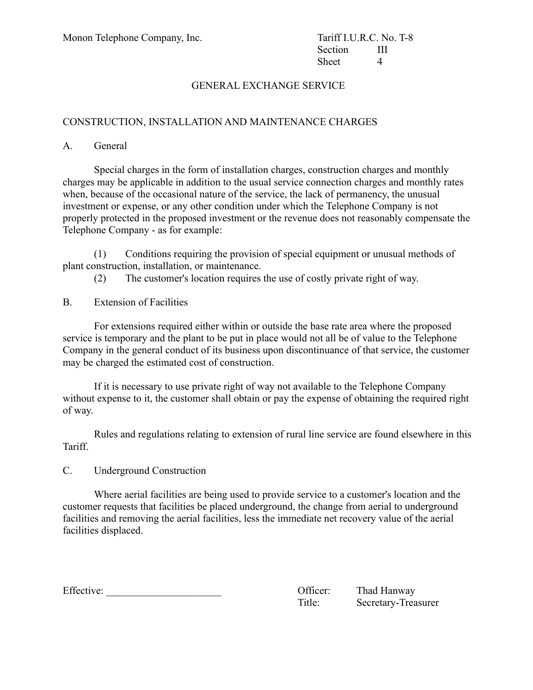#### CONSTRUCTION, INSTALLATION AND MAINTENANCE CHARGES

A. General

Special charges in the form of installation charges, construction charges and monthly charges may be applicable in addition to the usual service connection charges and monthly rates when, because of the occasional nature of the service, the lack of permanency, the unusual investment or expense, or any other condition under which the Telephone Company is not properly protected in the proposed investment or the revenue does not reasonably compensate the Telephone Company - as for example:

(1) Conditions requiring the provision of special equipment or unusual methods of plant construction, installation, or maintenance.

(2) The customer's location requires the use of costly private right of way.

B. Extension of Facilities

For extensions required either within or outside the base rate area where the proposed service is temporary and the plant to be put in place would not all be of value to the Telephone Company in the general conduct of its business upon discontinuance of that service, the customer may be charged the estimated cost of construction.

If it is necessary to use private right of way not available to the Telephone Company without expense to it, the customer shall obtain or pay the expense of obtaining the required right of way.

Rules and regulations relating to extension of rural line service are found elsewhere in this Tariff.

C. Underground Construction

Where aerial facilities are being used to provide service to a customer's location and the customer requests that facilities be placed underground, the change from aerial to underground facilities and removing the aerial facilities, less the immediate net recovery value of the aerial facilities displaced.

Effective: Thad Hanway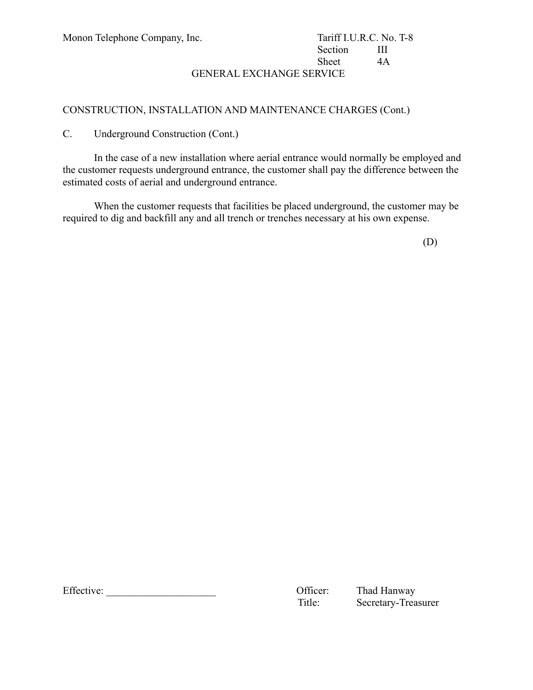## Section III Sheet 4A

GENERAL EXCHANGE SERVICE

#### CONSTRUCTION, INSTALLATION AND MAINTENANCE CHARGES (Cont.)

C. Underground Construction (Cont.)

In the case of a new installation where aerial entrance would normally be employed and the customer requests underground entrance, the customer shall pay the difference between the estimated costs of aerial and underground entrance.

When the customer requests that facilities be placed underground, the customer may be required to dig and backfill any and all trench or trenches necessary at his own expense.

(D)

Effective: \_\_\_\_\_\_\_\_\_\_\_\_\_\_\_\_\_\_\_\_\_ Officer: Thad Hanway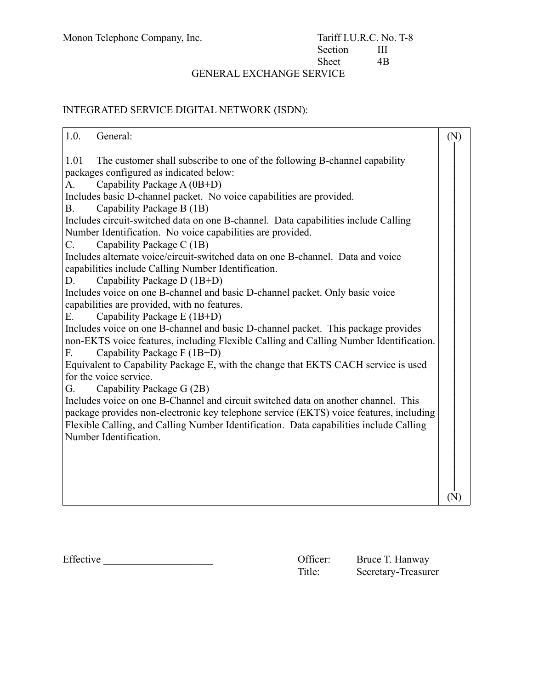## INTEGRATED SERVICE DIGITAL NETWORK (ISDN):

| 1.0.<br>General:                                                                       | (N) |
|----------------------------------------------------------------------------------------|-----|
| 1.01<br>The customer shall subscribe to one of the following B-channel capability      |     |
| packages configured as indicated below:                                                |     |
| Capability Package A (0B+D)<br>А.                                                      |     |
| Includes basic D-channel packet. No voice capabilities are provided.                   |     |
| Capability Package B (1B)<br>Β.                                                        |     |
| Includes circuit-switched data on one B-channel. Data capabilities include Calling     |     |
| Number Identification. No voice capabilities are provided.                             |     |
| Capability Package C (1B)<br>$C_{\cdot}$                                               |     |
| Includes alternate voice/circuit-switched data on one B-channel. Data and voice        |     |
| capabilities include Calling Number Identification.                                    |     |
| Capability Package D (1B+D)<br>D.                                                      |     |
| Includes voice on one B-channel and basic D-channel packet. Only basic voice           |     |
| capabilities are provided, with no features.                                           |     |
| Capability Package E (1B+D)<br>E.                                                      |     |
| Includes voice on one B-channel and basic D-channel packet. This package provides      |     |
| non-EKTS voice features, including Flexible Calling and Calling Number Identification. |     |
| Capability Package F (1B+D)<br>F.                                                      |     |
| Equivalent to Capability Package E, with the change that EKTS CACH service is used     |     |
| for the voice service.                                                                 |     |
| Capability Package G (2B)<br>G.                                                        |     |
| Includes voice on one B-Channel and circuit switched data on another channel. This     |     |
| package provides non-electronic key telephone service (EKTS) voice features, including |     |
| Flexible Calling, and Calling Number Identification. Data capabilities include Calling |     |
| Number Identification.                                                                 |     |
|                                                                                        |     |
|                                                                                        |     |
|                                                                                        |     |
|                                                                                        |     |
|                                                                                        | (N  |

| Effective |  |  |  |  |  |
|-----------|--|--|--|--|--|
|           |  |  |  |  |  |

Officer: Bruce T. Hanway<br>Title: Secretary-Treasure Secretary-Treasurer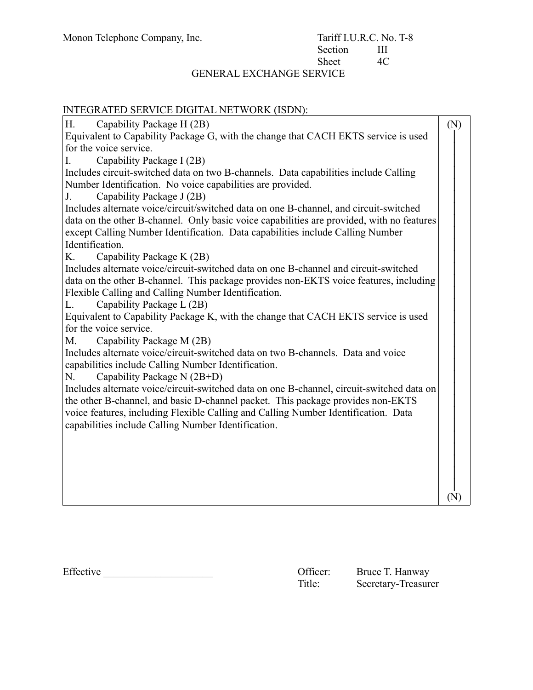| INTEGRATED SERVICE DIGITAL NETWORK (ISDN):                                                                      |     |
|-----------------------------------------------------------------------------------------------------------------|-----|
| Capability Package H (2B)<br>Η.                                                                                 | (N) |
| Equivalent to Capability Package G, with the change that CACH EKTS service is used                              |     |
| for the voice service.                                                                                          |     |
| Capability Package I (2B)<br>I.                                                                                 |     |
| Includes circuit-switched data on two B-channels. Data capabilities include Calling                             |     |
| Number Identification. No voice capabilities are provided.                                                      |     |
| Capability Package J (2B)<br>J.                                                                                 |     |
| Includes alternate voice/circuit/switched data on one B-channel, and circuit-switched                           |     |
| data on the other B-channel. Only basic voice capabilities are provided, with no features                       |     |
| except Calling Number Identification. Data capabilities include Calling Number                                  |     |
| Identification.                                                                                                 |     |
| Capability Package K (2B)<br>Κ.                                                                                 |     |
| Includes alternate voice/circuit-switched data on one B-channel and circuit-switched                            |     |
| data on the other B-channel. This package provides non-EKTS voice features, including                           |     |
| Flexible Calling and Calling Number Identification.<br>L.                                                       |     |
| Capability Package L (2B)<br>Equivalent to Capability Package K, with the change that CACH EKTS service is used |     |
| for the voice service.                                                                                          |     |
| Capability Package M (2B)<br>M.                                                                                 |     |
| Includes alternate voice/circuit-switched data on two B-channels. Data and voice                                |     |
| capabilities include Calling Number Identification.                                                             |     |
| Capability Package N (2B+D)<br>N.                                                                               |     |
| Includes alternate voice/circuit-switched data on one B-channel, circuit-switched data on                       |     |
| the other B-channel, and basic D-channel packet. This package provides non-EKTS                                 |     |
| voice features, including Flexible Calling and Calling Number Identification. Data                              |     |
| capabilities include Calling Number Identification.                                                             |     |
|                                                                                                                 |     |
|                                                                                                                 |     |
|                                                                                                                 |     |
|                                                                                                                 |     |
|                                                                                                                 |     |
|                                                                                                                 | (N) |

Effective \_\_\_\_\_\_\_\_\_\_\_\_\_\_\_\_\_\_\_\_\_ Officer: Bruce T. Hanway

Secretary-Treasurer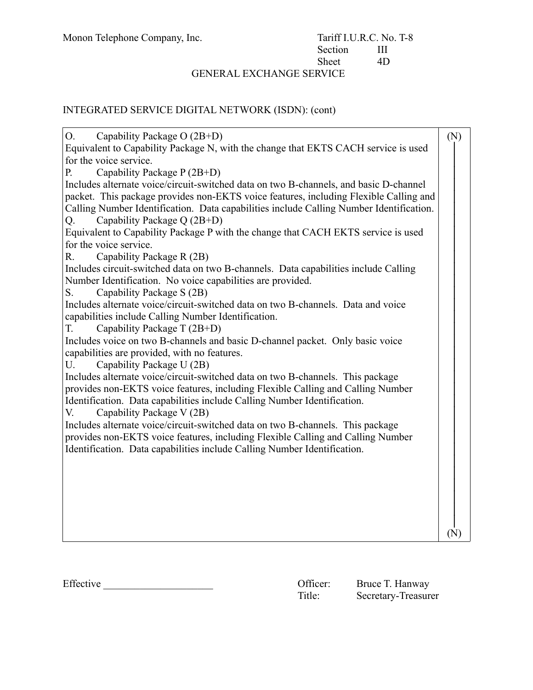## INTEGRATED SERVICE DIGITAL NETWORK (ISDN): (cont)

| Capability Package O (2B+D)<br>O.                                                       | (N)         |  |
|-----------------------------------------------------------------------------------------|-------------|--|
| Equivalent to Capability Package N, with the change that EKTS CACH service is used      |             |  |
| for the voice service.                                                                  |             |  |
| Capability Package P (2B+D)<br>Р.                                                       |             |  |
| Includes alternate voice/circuit-switched data on two B-channels, and basic D-channel   |             |  |
| packet. This package provides non-EKTS voice features, including Flexible Calling and   |             |  |
| Calling Number Identification. Data capabilities include Calling Number Identification. |             |  |
| Capability Package Q (2B+D)<br>Q.                                                       |             |  |
| Equivalent to Capability Package P with the change that CACH EKTS service is used       |             |  |
| for the voice service.                                                                  |             |  |
| $R_{\cdot}$<br>Capability Package R (2B)                                                |             |  |
| Includes circuit-switched data on two B-channels. Data capabilities include Calling     |             |  |
| Number Identification. No voice capabilities are provided.                              |             |  |
| Capability Package S (2B)<br>S.                                                         |             |  |
| Includes alternate voice/circuit-switched data on two B-channels. Data and voice        |             |  |
| capabilities include Calling Number Identification.                                     |             |  |
| Capability Package T (2B+D)<br>T.                                                       |             |  |
| Includes voice on two B-channels and basic D-channel packet. Only basic voice           |             |  |
| capabilities are provided, with no features.                                            |             |  |
| U.<br>Capability Package U (2B)                                                         |             |  |
| Includes alternate voice/circuit-switched data on two B-channels. This package          |             |  |
| provides non-EKTS voice features, including Flexible Calling and Calling Number         |             |  |
| Identification. Data capabilities include Calling Number Identification.                |             |  |
| Capability Package V (2B)<br>V.                                                         |             |  |
| Includes alternate voice/circuit-switched data on two B-channels. This package          |             |  |
| provides non-EKTS voice features, including Flexible Calling and Calling Number         |             |  |
| Identification. Data capabilities include Calling Number Identification.                |             |  |
|                                                                                         |             |  |
|                                                                                         |             |  |
|                                                                                         |             |  |
|                                                                                         |             |  |
|                                                                                         |             |  |
|                                                                                         | $({\rm N})$ |  |
|                                                                                         |             |  |

Effective Communication Communication Communication Communication Communication Communication Communication Communication Communication Communication Communication Communication Communication Communication Communication Co Secretary-Treasurer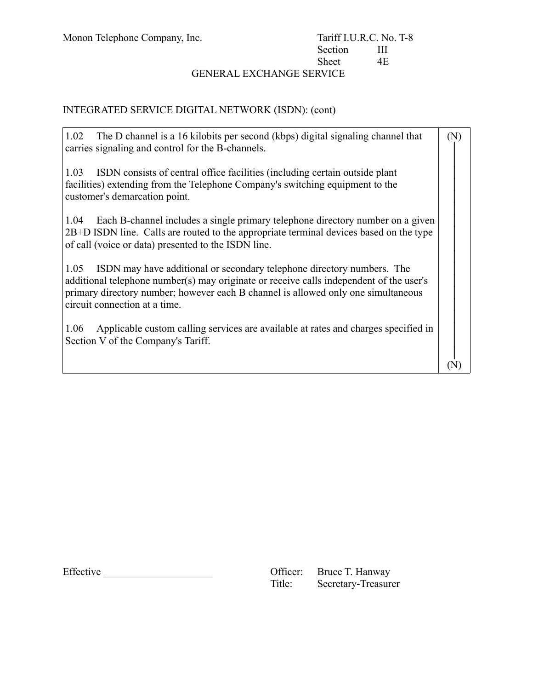$\blacksquare$ 

## Monon Telephone Company, Inc. Tariff I.U.R.C. No. T-8<br>Section III Section III<br>Sheet 4E Sheet

 $\overline{\phantom{0}}$ 

## GENERAL EXCHANGE SERVICE

## INTEGRATED SERVICE DIGITAL NETWORK (ISDN): (cont)

| 1.02<br>The D channel is a 16 kilobits per second (kbps) digital signaling channel that<br>carries signaling and control for the B-channels.                                                                                                                                                    | $(\mathrm{N})$ |
|-------------------------------------------------------------------------------------------------------------------------------------------------------------------------------------------------------------------------------------------------------------------------------------------------|----------------|
| 1.03<br>ISDN consists of central office facilities (including certain outside plant<br>facilities) extending from the Telephone Company's switching equipment to the<br>customer's demarcation point.                                                                                           |                |
| Each B-channel includes a single primary telephone directory number on a given<br>1.04<br>2B+D ISDN line. Calls are routed to the appropriate terminal devices based on the type<br>of call (voice or data) presented to the ISDN line.                                                         |                |
| 1.05<br>ISDN may have additional or secondary telephone directory numbers. The<br>additional telephone number(s) may originate or receive calls independent of the user's<br>primary directory number; however each B channel is allowed only one simultaneous<br>circuit connection at a time. |                |
| Applicable custom calling services are available at rates and charges specified in<br>1.06<br>Section V of the Company's Tariff.                                                                                                                                                                |                |
|                                                                                                                                                                                                                                                                                                 |                |

Effective \_\_\_\_\_\_\_\_\_\_\_\_\_\_\_\_\_\_\_\_\_ Officer: Bruce T. Hanway

| Officer: | Bruce T. Hanway     |
|----------|---------------------|
| Title:   | Secretary-Treasurer |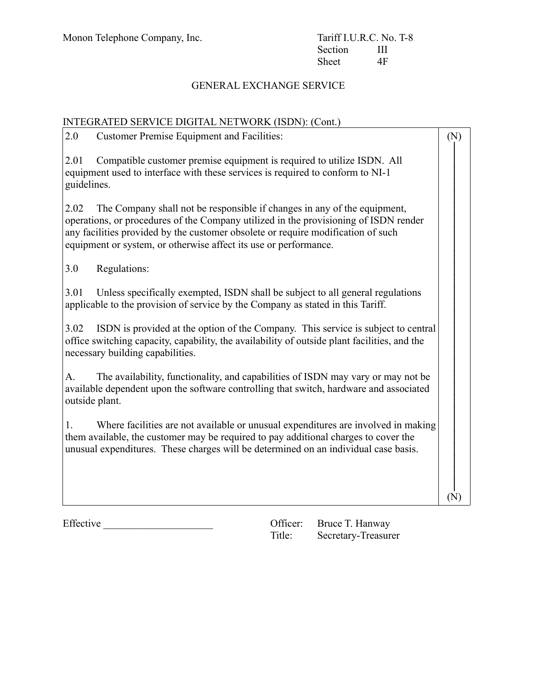## INTEGRATED SERVICE DIGITAL NETWORK (ISDN): (Cont.)

| 2.0<br><b>Customer Premise Equipment and Facilities:</b>                                                                                                                                                                                                                                                                         | (N)       |  |
|----------------------------------------------------------------------------------------------------------------------------------------------------------------------------------------------------------------------------------------------------------------------------------------------------------------------------------|-----------|--|
| Compatible customer premise equipment is required to utilize ISDN. All<br>2.01<br>equipment used to interface with these services is required to conform to NI-1<br>guidelines.                                                                                                                                                  |           |  |
| The Company shall not be responsible if changes in any of the equipment,<br>2.02<br>operations, or procedures of the Company utilized in the provisioning of ISDN render<br>any facilities provided by the customer obsolete or require modification of such<br>equipment or system, or otherwise affect its use or performance. |           |  |
| 3.0<br>Regulations:                                                                                                                                                                                                                                                                                                              |           |  |
| 3.01<br>Unless specifically exempted, ISDN shall be subject to all general regulations<br>applicable to the provision of service by the Company as stated in this Tariff.                                                                                                                                                        |           |  |
| 3.02<br>ISDN is provided at the option of the Company. This service is subject to central<br>office switching capacity, capability, the availability of outside plant facilities, and the<br>necessary building capabilities.                                                                                                    |           |  |
| The availability, functionality, and capabilities of ISDN may vary or may not be<br>A.<br>available dependent upon the software controlling that switch, hardware and associated<br>outside plant.                                                                                                                               |           |  |
| Where facilities are not available or unusual expenditures are involved in making<br>1.<br>them available, the customer may be required to pay additional charges to cover the<br>unusual expenditures. These charges will be determined on an individual case basis.                                                            |           |  |
|                                                                                                                                                                                                                                                                                                                                  | $(\rm N)$ |  |

Effective \_\_\_\_\_\_\_\_\_\_\_\_\_\_\_\_\_\_\_\_\_ Officer: Bruce T. Hanway

|        | Officer: Bruce T. Hanway |
|--------|--------------------------|
| Title: | Secretary-Treasurer      |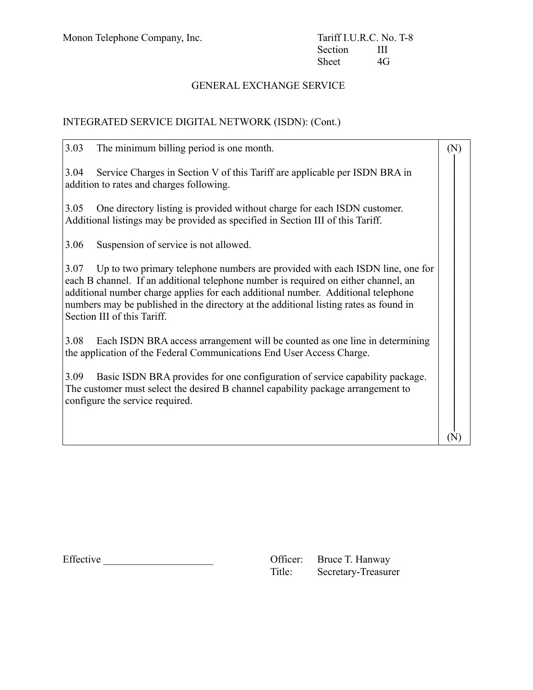## INTEGRATED SERVICE DIGITAL NETWORK (ISDN): (Cont.)

| 3.03<br>The minimum billing period is one month.                                                                                                                                                                                                                                                                                                                                          | (N) |
|-------------------------------------------------------------------------------------------------------------------------------------------------------------------------------------------------------------------------------------------------------------------------------------------------------------------------------------------------------------------------------------------|-----|
| Service Charges in Section V of this Tariff are applicable per ISDN BRA in<br>3.04<br>addition to rates and charges following.                                                                                                                                                                                                                                                            |     |
| One directory listing is provided without charge for each ISDN customer.<br>3.05<br>Additional listings may be provided as specified in Section III of this Tariff.                                                                                                                                                                                                                       |     |
| 3.06<br>Suspension of service is not allowed.                                                                                                                                                                                                                                                                                                                                             |     |
| 3.07<br>Up to two primary telephone numbers are provided with each ISDN line, one for<br>each B channel. If an additional telephone number is required on either channel, an<br>additional number charge applies for each additional number. Additional telephone<br>numbers may be published in the directory at the additional listing rates as found in<br>Section III of this Tariff. |     |
| 3.08<br>Each ISDN BRA access arrangement will be counted as one line in determining<br>the application of the Federal Communications End User Access Charge.                                                                                                                                                                                                                              |     |
| Basic ISDN BRA provides for one configuration of service capability package.<br>3.09<br>The customer must select the desired B channel capability package arrangement to<br>configure the service required.                                                                                                                                                                               |     |
|                                                                                                                                                                                                                                                                                                                                                                                           |     |

Effective \_\_\_\_\_\_\_\_\_\_\_\_\_\_\_\_\_\_\_\_\_ Officer: Bruce T. Hanway

| Officer: | Bruce T. Hanway     |
|----------|---------------------|
| Title:   | Secretary-Treasurer |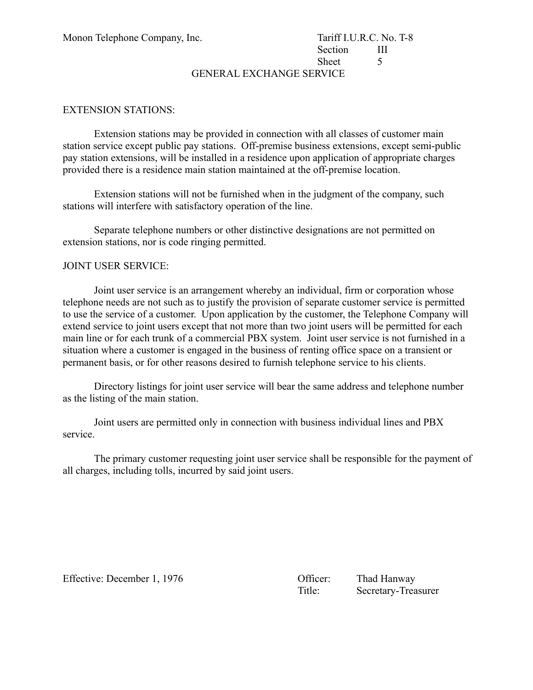# Section III Sheet 5

GENERAL EXCHANGE SERVICE

#### EXTENSION STATIONS:

Extension stations may be provided in connection with all classes of customer main station service except public pay stations. Off-premise business extensions, except semi-public pay station extensions, will be installed in a residence upon application of appropriate charges provided there is a residence main station maintained at the off-premise location.

Extension stations will not be furnished when in the judgment of the company, such stations will interfere with satisfactory operation of the line.

Separate telephone numbers or other distinctive designations are not permitted on extension stations, nor is code ringing permitted.

#### JOINT USER SERVICE:

Joint user service is an arrangement whereby an individual, firm or corporation whose telephone needs are not such as to justify the provision of separate customer service is permitted to use the service of a customer. Upon application by the customer, the Telephone Company will extend service to joint users except that not more than two joint users will be permitted for each main line or for each trunk of a commercial PBX system. Joint user service is not furnished in a situation where a customer is engaged in the business of renting office space on a transient or permanent basis, or for other reasons desired to furnish telephone service to his clients.

Directory listings for joint user service will bear the same address and telephone number as the listing of the main station.

Joint users are permitted only in connection with business individual lines and PBX service.

The primary customer requesting joint user service shall be responsible for the payment of all charges, including tolls, incurred by said joint users.

Effective: December 1, 1976 Chicago Contract Contract Contract Contract Contract Contract Contract Contract Contract Contract Contract Contract Contract Contract Contract Contract Contract Contract Contract Contract Contra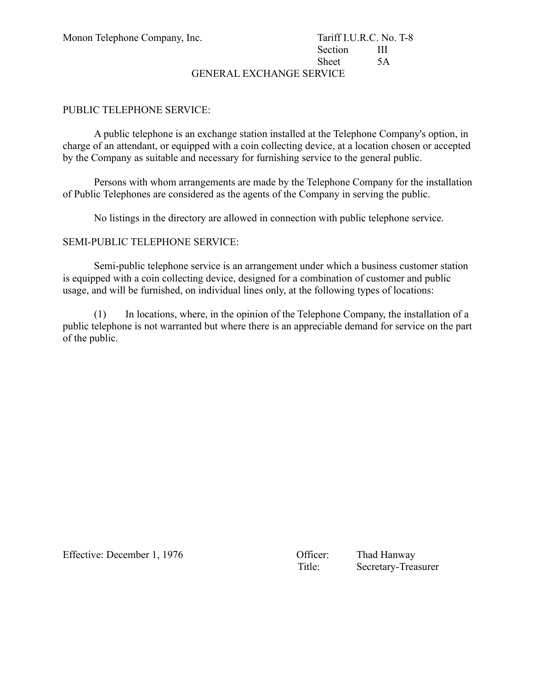## Section III Sheet 5A

GENERAL EXCHANGE SERVICE

#### PUBLIC TELEPHONE SERVICE:

A public telephone is an exchange station installed at the Telephone Company's option, in charge of an attendant, or equipped with a coin collecting device, at a location chosen or accepted by the Company as suitable and necessary for furnishing service to the general public.

Persons with whom arrangements are made by the Telephone Company for the installation of Public Telephones are considered as the agents of the Company in serving the public.

No listings in the directory are allowed in connection with public telephone service.

#### SEMI-PUBLIC TELEPHONE SERVICE:

Semi-public telephone service is an arrangement under which a business customer station is equipped with a coin collecting device, designed for a combination of customer and public usage, and will be furnished, on individual lines only, at the following types of locations:

(1) In locations, where, in the opinion of the Telephone Company, the installation of a public telephone is not warranted but where there is an appreciable demand for service on the part of the public.

Effective: December 1, 1976 Chicago Company Company Company Chicago Thad Hanway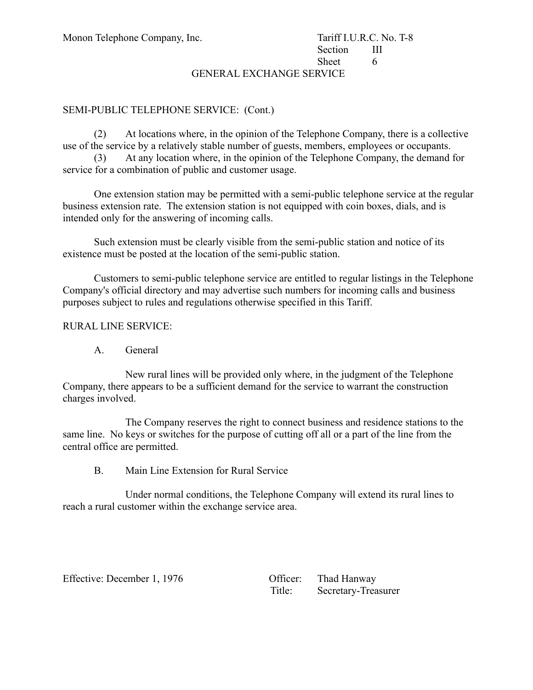## Section III Sheet 6

GENERAL EXCHANGE SERVICE

#### SEMI-PUBLIC TELEPHONE SERVICE: (Cont.)

(2) At locations where, in the opinion of the Telephone Company, there is a collective use of the service by a relatively stable number of guests, members, employees or occupants.

(3) At any location where, in the opinion of the Telephone Company, the demand for service for a combination of public and customer usage.

One extension station may be permitted with a semi-public telephone service at the regular business extension rate. The extension station is not equipped with coin boxes, dials, and is intended only for the answering of incoming calls.

Such extension must be clearly visible from the semi-public station and notice of its existence must be posted at the location of the semi-public station.

Customers to semi-public telephone service are entitled to regular listings in the Telephone Company's official directory and may advertise such numbers for incoming calls and business purposes subject to rules and regulations otherwise specified in this Tariff.

#### RURAL LINE SERVICE:

A. General

New rural lines will be provided only where, in the judgment of the Telephone Company, there appears to be a sufficient demand for the service to warrant the construction charges involved.

The Company reserves the right to connect business and residence stations to the same line. No keys or switches for the purpose of cutting off all or a part of the line from the central office are permitted.

B. Main Line Extension for Rural Service

Under normal conditions, the Telephone Company will extend its rural lines to reach a rural customer within the exchange service area.

Effective: December 1, 1976

| Officer: | Thad Hanway         |
|----------|---------------------|
| Title:   | Secretary-Treasurer |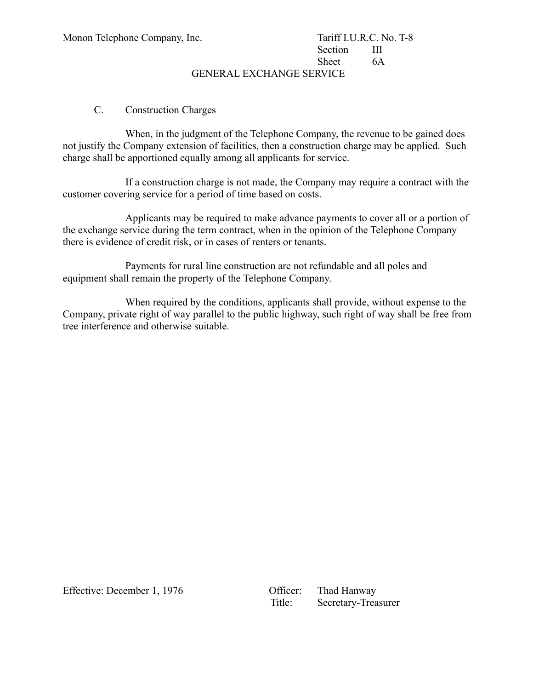## Section III Sheet 6A

GENERAL EXCHANGE SERVICE

#### C. Construction Charges

When, in the judgment of the Telephone Company, the revenue to be gained does not justify the Company extension of facilities, then a construction charge may be applied. Such charge shall be apportioned equally among all applicants for service.

If a construction charge is not made, the Company may require a contract with the customer covering service for a period of time based on costs.

Applicants may be required to make advance payments to cover all or a portion of the exchange service during the term contract, when in the opinion of the Telephone Company there is evidence of credit risk, or in cases of renters or tenants.

Payments for rural line construction are not refundable and all poles and equipment shall remain the property of the Telephone Company.

When required by the conditions, applicants shall provide, without expense to the Company, private right of way parallel to the public highway, such right of way shall be free from tree interference and otherwise suitable.

Effective: December 1, 1976 Queen Officer: Thad Hanway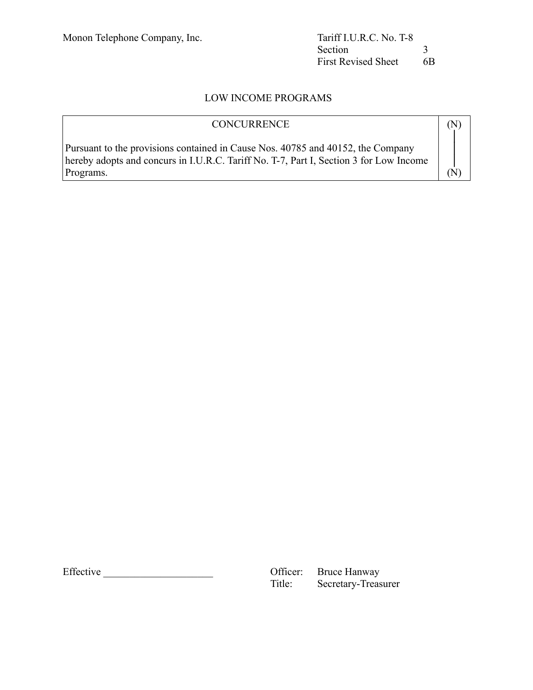## LOW INCOME PROGRAMS

| <b>CONCURRENCE</b>                                                                                                                                                                     |  |
|----------------------------------------------------------------------------------------------------------------------------------------------------------------------------------------|--|
| Pursuant to the provisions contained in Cause Nos. 40785 and 40152, the Company<br>hereby adopts and concurs in I.U.R.C. Tariff No. T-7, Part I, Section 3 for Low Income<br>Programs. |  |

Effective CHEC CONSERVICE: Bruce Hanway<br>
Title: Secretary-Treas Secretary-Treasurer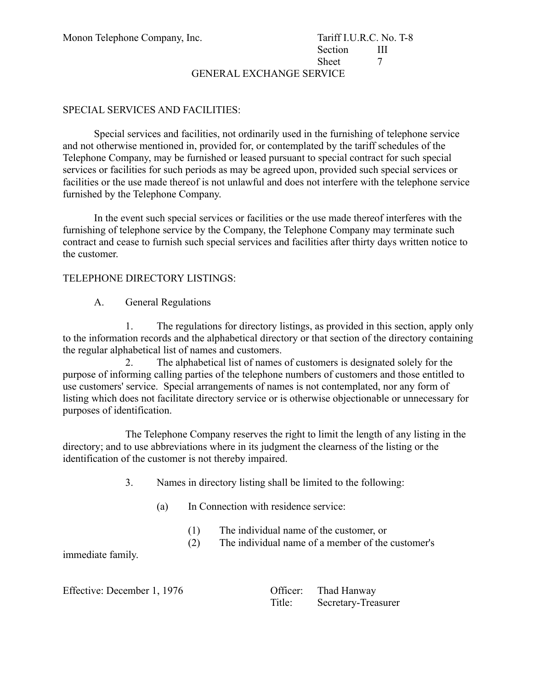GENERAL EXCHANGE SERVICE

#### SPECIAL SERVICES AND FACILITIES:

Special services and facilities, not ordinarily used in the furnishing of telephone service and not otherwise mentioned in, provided for, or contemplated by the tariff schedules of the Telephone Company, may be furnished or leased pursuant to special contract for such special services or facilities for such periods as may be agreed upon, provided such special services or facilities or the use made thereof is not unlawful and does not interfere with the telephone service furnished by the Telephone Company.

In the event such special services or facilities or the use made thereof interferes with the furnishing of telephone service by the Company, the Telephone Company may terminate such contract and cease to furnish such special services and facilities after thirty days written notice to the customer.

#### TELEPHONE DIRECTORY LISTINGS:

A. General Regulations

1. The regulations for directory listings, as provided in this section, apply only to the information records and the alphabetical directory or that section of the directory containing the regular alphabetical list of names and customers.

2. The alphabetical list of names of customers is designated solely for the purpose of informing calling parties of the telephone numbers of customers and those entitled to use customers' service. Special arrangements of names is not contemplated, nor any form of listing which does not facilitate directory service or is otherwise objectionable or unnecessary for purposes of identification.

The Telephone Company reserves the right to limit the length of any listing in the directory; and to use abbreviations where in its judgment the clearness of the listing or the identification of the customer is not thereby impaired.

- 3. Names in directory listing shall be limited to the following:
	- (a) In Connection with residence service:
		- (1) The individual name of the customer, or
		- (2) The individual name of a member of the customer's

immediate family.

Effective: December 1, 1976

| Officer: | Thad Hanway         |
|----------|---------------------|
| Title:   | Secretary-Treasurer |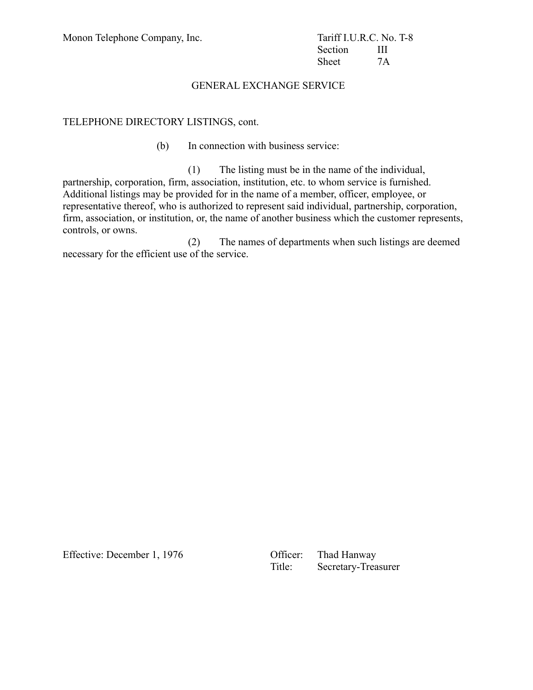Section III Sheet 7A

#### GENERAL EXCHANGE SERVICE

#### TELEPHONE DIRECTORY LISTINGS, cont.

(b) In connection with business service:

(1) The listing must be in the name of the individual, partnership, corporation, firm, association, institution, etc. to whom service is furnished. Additional listings may be provided for in the name of a member, officer, employee, or representative thereof, who is authorized to represent said individual, partnership, corporation, firm, association, or institution, or, the name of another business which the customer represents, controls, or owns.

(2) The names of departments when such listings are deemed necessary for the efficient use of the service.

Effective: December 1, 1976 Queen Officer: Thad Hanway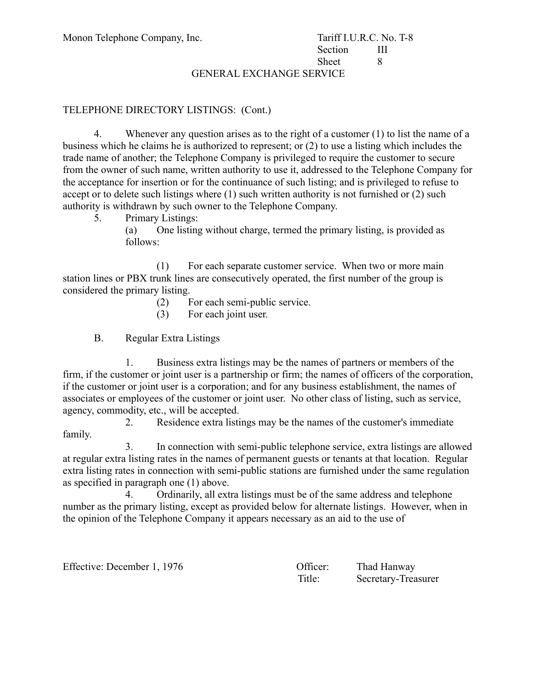GENERAL EXCHANGE SERVICE

#### TELEPHONE DIRECTORY LISTINGS: (Cont.)

4. Whenever any question arises as to the right of a customer (1) to list the name of a business which he claims he is authorized to represent; or (2) to use a listing which includes the trade name of another; the Telephone Company is privileged to require the customer to secure from the owner of such name, written authority to use it, addressed to the Telephone Company for the acceptance for insertion or for the continuance of such listing; and is privileged to refuse to accept or to delete such listings where (1) such written authority is not furnished or (2) such authority is withdrawn by such owner to the Telephone Company.

5. Primary Listings:

(a) One listing without charge, termed the primary listing, is provided as follows:

(1) For each separate customer service. When two or more main station lines or PBX trunk lines are consecutively operated, the first number of the group is considered the primary listing.

- (2) For each semi-public service.
- (3) For each joint user.
- B. Regular Extra Listings

1. Business extra listings may be the names of partners or members of the firm, if the customer or joint user is a partnership or firm; the names of officers of the corporation, if the customer or joint user is a corporation; and for any business establishment, the names of associates or employees of the customer or joint user. No other class of listing, such as service, agency, commodity, etc., will be accepted.

2. Residence extra listings may be the names of the customer's immediate family.

3. In connection with semi-public telephone service, extra listings are allowed at regular extra listing rates in the names of permanent guests or tenants at that location. Regular extra listing rates in connection with semi-public stations are furnished under the same regulation as specified in paragraph one (1) above.

4. Ordinarily, all extra listings must be of the same address and telephone number as the primary listing, except as provided below for alternate listings. However, when in the opinion of the Telephone Company it appears necessary as an aid to the use of

Effective: December 1, 1976 Contract Contract Contract Contract Contract Contract Contract Contract Contract Contract Contract Contract Contract Contract Contract Contract Contract Contract Contract Contract Contract Contr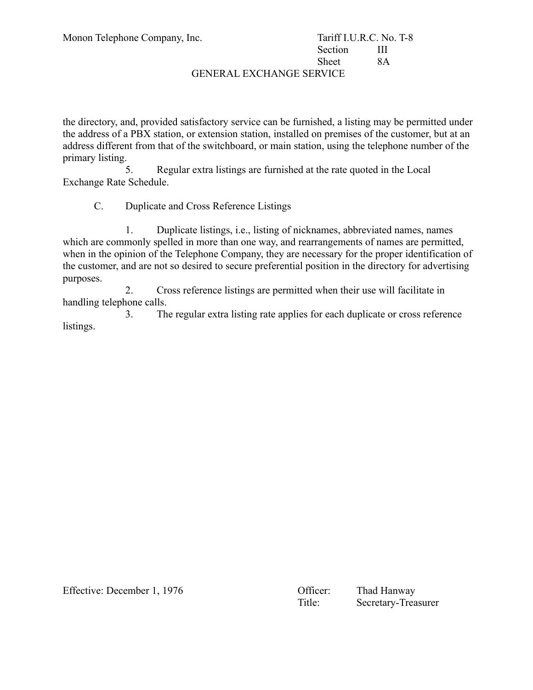## Section III Sheet 8A

#### GENERAL EXCHANGE SERVICE

the directory, and, provided satisfactory service can be furnished, a listing may be permitted under the address of a PBX station, or extension station, installed on premises of the customer, but at an address different from that of the switchboard, or main station, using the telephone number of the primary listing.

5. Regular extra listings are furnished at the rate quoted in the Local Exchange Rate Schedule.

C. Duplicate and Cross Reference Listings

1. Duplicate listings, i.e., listing of nicknames, abbreviated names, names which are commonly spelled in more than one way, and rearrangements of names are permitted, when in the opinion of the Telephone Company, they are necessary for the proper identification of the customer, and are not so desired to secure preferential position in the directory for advertising purposes.

2. Cross reference listings are permitted when their use will facilitate in handling telephone calls.

3. The regular extra listing rate applies for each duplicate or cross reference listings.

Effective: December 1, 1976 Contract Contract Contract Contract Contract Contract Contract Contract Contract Contract Contract Contract Contract Contract Contract Contract Contract Contract Contract Contract Contract Contr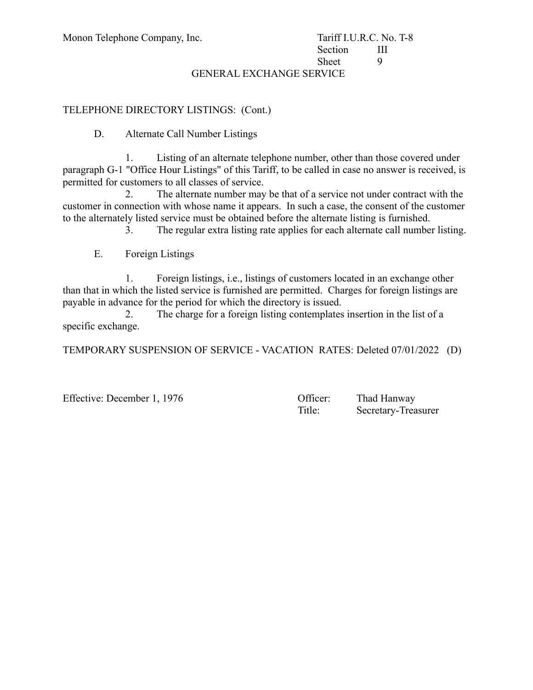## Section III Sheet 9

#### GENERAL EXCHANGE SERVICE

#### TELEPHONE DIRECTORY LISTINGS: (Cont.)

D. Alternate Call Number Listings

1. Listing of an alternate telephone number, other than those covered under paragraph G-1 "Office Hour Listings" of this Tariff, to be called in case no answer is received, is permitted for customers to all classes of service.

2. The alternate number may be that of a service not under contract with the customer in connection with whose name it appears. In such a case, the consent of the customer to the alternately listed service must be obtained before the alternate listing is furnished.

3. The regular extra listing rate applies for each alternate call number listing.

E. Foreign Listings

1. Foreign listings, i.e., listings of customers located in an exchange other than that in which the listed service is furnished are permitted. Charges for foreign listings are payable in advance for the period for which the directory is issued.

2. The charge for a foreign listing contemplates insertion in the list of a specific exchange.

TEMPORARY SUSPENSION OF SERVICE - VACATION RATES: Deleted 07/01/2022 (D)

Effective: December 1, 1976 Contract Contract Contract Contract Contract Contract Contract Contract Contract Contract Contract Contract Contract Contract Contract Contract Contract Contract Contract Contract Contract Contr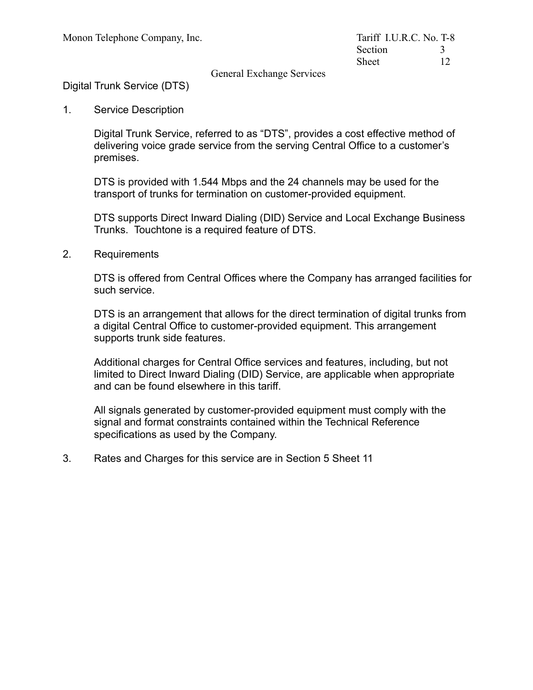General Exchange Services

Digital Trunk Service (DTS)

1. Service Description

Digital Trunk Service, referred to as "DTS", provides a cost effective method of delivering voice grade service from the serving Central Office to a customer's premises.

DTS is provided with 1.544 Mbps and the 24 channels may be used for the transport of trunks for termination on customer-provided equipment.

DTS supports Direct Inward Dialing (DID) Service and Local Exchange Business Trunks. Touchtone is a required feature of DTS.

2. Requirements

DTS is offered from Central Offices where the Company has arranged facilities for such service.

DTS is an arrangement that allows for the direct termination of digital trunks from a digital Central Office to customer-provided equipment. This arrangement supports trunk side features.

Additional charges for Central Office services and features, including, but not limited to Direct Inward Dialing (DID) Service, are applicable when appropriate and can be found elsewhere in this tariff.

All signals generated by customer-provided equipment must comply with the signal and format constraints contained within the Technical Reference specifications as used by the Company.

3. Rates and Charges for this service are in Section 5 Sheet 11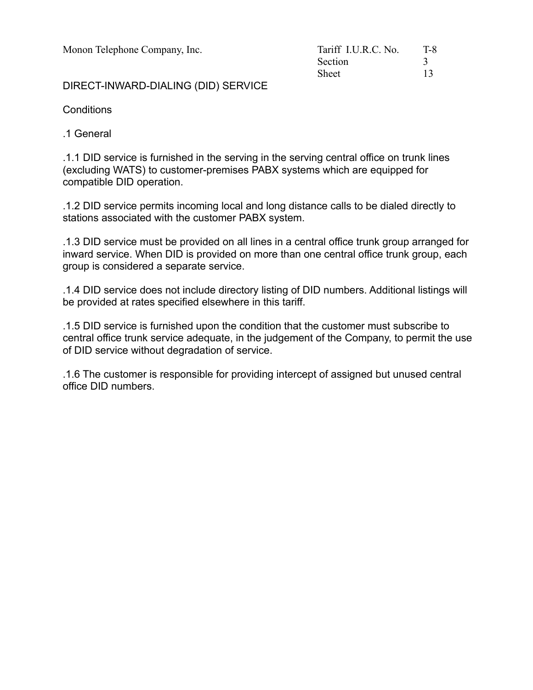Monon Telephone Company, Inc.

| Tariff I.U.R.C. No. | T-8 |
|---------------------|-----|
| Section             |     |
| <b>Sheet</b>        | 13  |

DIRECT-INWARD-DIALING (DID) SERVICE

**Conditions** 

.1 General

.1.1 DID service is furnished in the serving in the serving central office on trunk lines (excluding WATS) to customer-premises PABX systems which are equipped for compatible DID operation.

.1.2 DID service permits incoming local and long distance calls to be dialed directly to stations associated with the customer PABX system.

.1.3 DID service must be provided on all lines in a central office trunk group arranged for inward service. When DID is provided on more than one central office trunk group, each group is considered a separate service.

.1.4 DID service does not include directory listing of DID numbers. Additional listings will be provided at rates specified elsewhere in this tariff.

.1.5 DID service is furnished upon the condition that the customer must subscribe to central office trunk service adequate, in the judgement of the Company, to permit the use of DID service without degradation of service.

.1.6 The customer is responsible for providing intercept of assigned but unused central office DID numbers.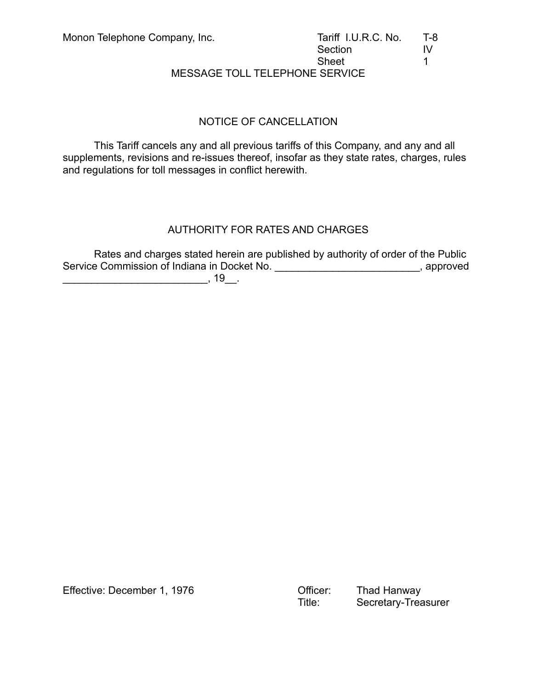MESSAGE TOLL TELEPHONE SERVICE

## NOTICE OF CANCELLATION

This Tariff cancels any and all previous tariffs of this Company, and any and all supplements, revisions and re-issues thereof, insofar as they state rates, charges, rules and regulations for toll messages in conflict herewith.

## AUTHORITY FOR RATES AND CHARGES

Rates and charges stated herein are published by authority of order of the Public Service Commission of Indiana in Docket No. \_\_\_\_\_\_\_\_\_\_\_\_\_\_\_\_\_\_\_\_\_\_\_\_\_\_\_\_, approved

\_\_\_\_\_\_\_\_\_\_\_\_\_\_\_\_\_\_\_\_\_\_\_\_\_, 19\_\_.

Effective: December 1, 1976 Officer: Thad Hanway

Secretary-Treasurer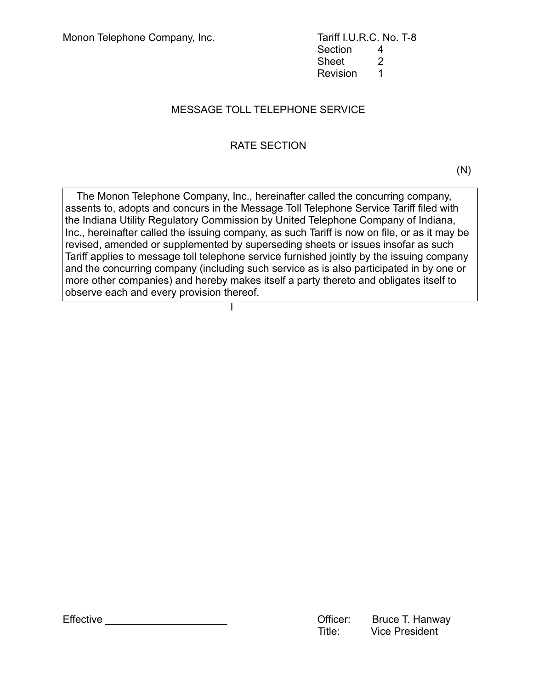Section 4 Sheet 2 Revision 1

## MESSAGE TOLL TELEPHONE SERVICE

## RATE SECTION

 $(N)$ 

 The Monon Telephone Company, Inc., hereinafter called the concurring company, assents to, adopts and concurs in the Message Toll Telephone Service Tariff filed with the Indiana Utility Regulatory Commission by United Telephone Company of Indiana, Inc., hereinafter called the issuing company, as such Tariff is now on file, or as it may be revised, amended or supplemented by superseding sheets or issues insofar as such Tariff applies to message toll telephone service furnished jointly by the issuing company and the concurring company (including such service as is also participated in by one or more other companies) and hereby makes itself a party thereto and obligates itself to observe each and every provision thereof.

la serie de la construcción de la construcción de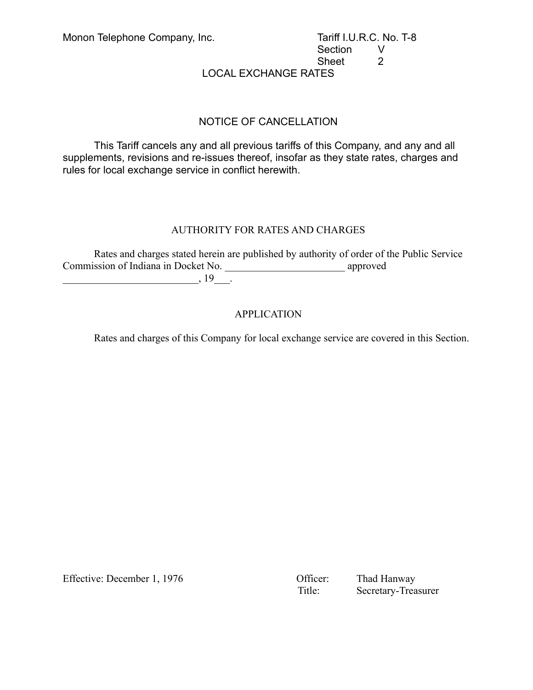## Section V Sheet 2

LOCAL EXCHANGE RATES

### NOTICE OF CANCELLATION

This Tariff cancels any and all previous tariffs of this Company, and any and all supplements, revisions and re-issues thereof, insofar as they state rates, charges and rules for local exchange service in conflict herewith.

#### AUTHORITY FOR RATES AND CHARGES

Rates and charges stated herein are published by authority of order of the Public Service Commission of Indiana in Docket No. \_\_\_\_\_\_\_\_\_\_\_\_\_\_\_\_\_\_\_\_\_\_\_ approved  $\Box$ , 19 $\Box$ 

### APPLICATION

Rates and charges of this Company for local exchange service are covered in this Section.

Effective: December 1, 1976 Chicago Cofficer: Thad Hanway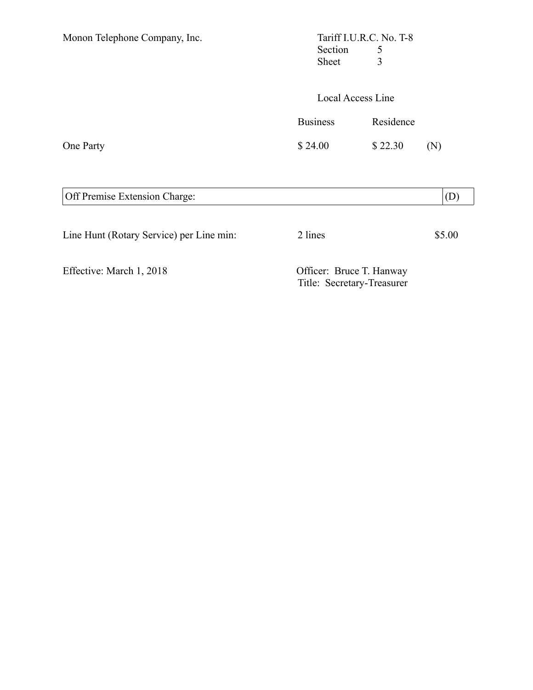| Monon Telephone Company, Inc. | Section<br>Sheet  | Tariff I.U.R.C. No. T-8<br>5<br>3 |     |
|-------------------------------|-------------------|-----------------------------------|-----|
|                               | Local Access Line |                                   |     |
|                               | <b>Business</b>   | Residence                         |     |
| One Party                     | \$24.00           | \$22.30                           | (N) |
| Off Premise Extension Charge: |                   |                                   | (D  |

| Line Hunt (Rotary Service) per Line min: | 2 lines                  | \$5.00 |
|------------------------------------------|--------------------------|--------|
| Effective: March 1, 2018                 | Officer: Bruce T. Hanway |        |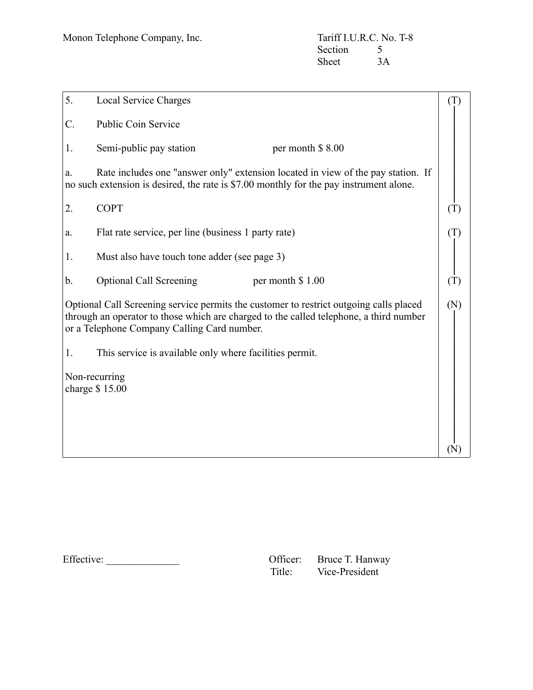| 5.                               | Local Service Charges                                   |                                                                                                                                                                                  | (T)            |
|----------------------------------|---------------------------------------------------------|----------------------------------------------------------------------------------------------------------------------------------------------------------------------------------|----------------|
| C.                               | Public Coin Service                                     |                                                                                                                                                                                  |                |
| 1.                               | Semi-public pay station                                 | per month \$8.00                                                                                                                                                                 |                |
| a.                               |                                                         | Rate includes one "answer only" extension located in view of the pay station. If<br>no such extension is desired, the rate is \$7.00 monthly for the pay instrument alone.       |                |
| 2.                               | <b>COPT</b>                                             |                                                                                                                                                                                  | $(\mathrm{T})$ |
| a.                               | Flat rate service, per line (business 1 party rate)     |                                                                                                                                                                                  | (T)            |
| 1.                               | Must also have touch tone adder (see page 3)            |                                                                                                                                                                                  |                |
| b.                               | <b>Optional Call Screening</b>                          | per month \$1.00                                                                                                                                                                 | (T)            |
|                                  | or a Telephone Company Calling Card number.             | Optional Call Screening service permits the customer to restrict outgoing calls placed<br>through an operator to those which are charged to the called telephone, a third number | (N)            |
| 1.                               | This service is available only where facilities permit. |                                                                                                                                                                                  |                |
| Non-recurring<br>charge $$15.00$ |                                                         |                                                                                                                                                                                  |                |
|                                  |                                                         |                                                                                                                                                                                  | $(\mathbf{N})$ |

 $Effective:$ 

| Officer: | Bruce T. Hanway |
|----------|-----------------|
| Title:   | Vice-President  |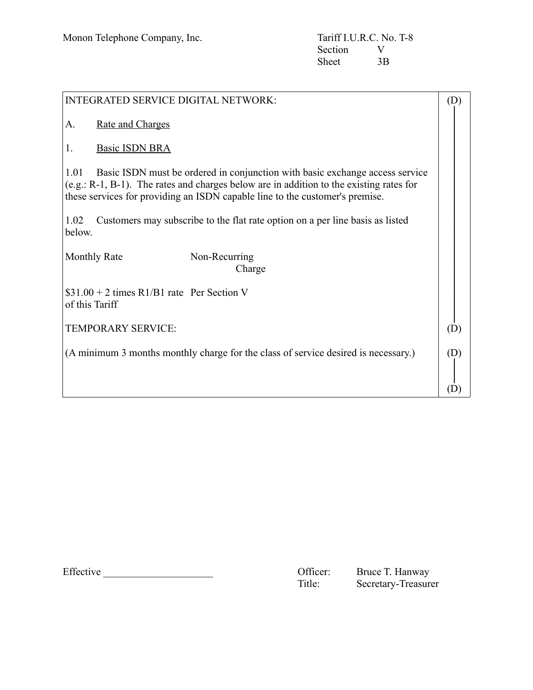| <b>INTEGRATED SERVICE DIGITAL NETWORK:</b>                                                                                                                                                                                                                         | (D) |
|--------------------------------------------------------------------------------------------------------------------------------------------------------------------------------------------------------------------------------------------------------------------|-----|
| <b>Rate and Charges</b><br>A.                                                                                                                                                                                                                                      |     |
| <b>Basic ISDN BRA</b><br>1.                                                                                                                                                                                                                                        |     |
| Basic ISDN must be ordered in conjunction with basic exchange access service<br>1.01<br>$(e.g.: R-1, B-1)$ . The rates and charges below are in addition to the existing rates for<br>these services for providing an ISDN capable line to the customer's premise. |     |
| Customers may subscribe to the flat rate option on a per line basis as listed<br>1.02<br>below.                                                                                                                                                                    |     |
| <b>Monthly Rate</b><br>Non-Recurring<br>Charge                                                                                                                                                                                                                     |     |
| $$31.00 + 2$ times R1/B1 rate Per Section V<br>of this Tariff                                                                                                                                                                                                      |     |
| TEMPORARY SERVICE:                                                                                                                                                                                                                                                 | (D) |
| (A minimum 3 months monthly charge for the class of service desired is necessary.)                                                                                                                                                                                 | (D) |
|                                                                                                                                                                                                                                                                    |     |

Effective CHECONDER CONSERVERSITY Officer:

Bruce T. Hanway<br>Secretary-Treasurer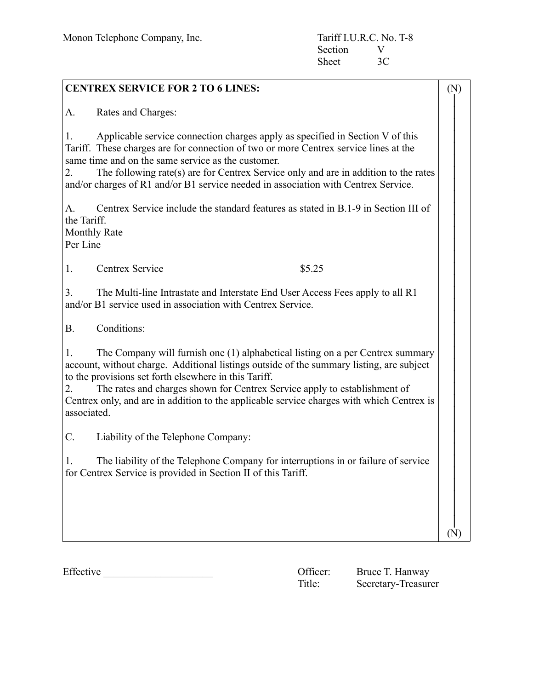| <b>CENTREX SERVICE FOR 2 TO 6 LINES:</b>                                                                                                                                                                                                                                                                                                                                                                                                 | (N) |  |
|------------------------------------------------------------------------------------------------------------------------------------------------------------------------------------------------------------------------------------------------------------------------------------------------------------------------------------------------------------------------------------------------------------------------------------------|-----|--|
| Rates and Charges:<br>А.                                                                                                                                                                                                                                                                                                                                                                                                                 |     |  |
| Applicable service connection charges apply as specified in Section V of this<br>1.<br>Tariff. These charges are for connection of two or more Centrex service lines at the<br>same time and on the same service as the customer.<br>The following rate(s) are for Centrex Service only and are in addition to the rates<br>2.<br>and/or charges of R1 and/or B1 service needed in association with Centrex Service.                     |     |  |
| Centrex Service include the standard features as stated in B.1-9 in Section III of<br>А.<br>the Tariff.<br>Monthly Rate<br>Per Line                                                                                                                                                                                                                                                                                                      |     |  |
| Centrex Service<br>1.<br>\$5.25                                                                                                                                                                                                                                                                                                                                                                                                          |     |  |
| 3.<br>The Multi-line Intrastate and Interstate End User Access Fees apply to all R1<br>and/or B1 service used in association with Centrex Service.                                                                                                                                                                                                                                                                                       |     |  |
| Conditions:<br><b>B.</b>                                                                                                                                                                                                                                                                                                                                                                                                                 |     |  |
| The Company will furnish one (1) alphabetical listing on a per Centrex summary<br>1.<br>account, without charge. Additional listings outside of the summary listing, are subject<br>to the provisions set forth elsewhere in this Tariff.<br>The rates and charges shown for Centrex Service apply to establishment of<br>2.<br>Centrex only, and are in addition to the applicable service charges with which Centrex is<br>associated. |     |  |
| C.<br>Liability of the Telephone Company:                                                                                                                                                                                                                                                                                                                                                                                                |     |  |
| The liability of the Telephone Company for interruptions in or failure of service<br>1.<br>for Centrex Service is provided in Section II of this Tariff.                                                                                                                                                                                                                                                                                 |     |  |
|                                                                                                                                                                                                                                                                                                                                                                                                                                          | (N) |  |

Effective Contraction Contraction Contraction Contraction Contraction Contraction Contraction Contraction Contraction Contraction Contraction Contraction Contraction Contraction Contraction Contraction Contraction Contract

Bruce T. Hanway<br>Secretary-Treasurer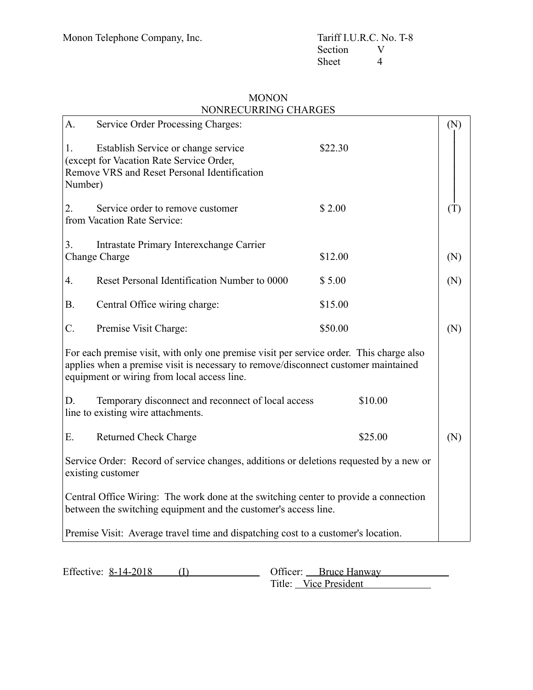## MONON NONRECURRING CHARGES

| A.            | Service Order Processing Charges:                                                                                                                                                                                            |         | (N) |
|---------------|------------------------------------------------------------------------------------------------------------------------------------------------------------------------------------------------------------------------------|---------|-----|
| 1.<br>Number) | Establish Service or change service<br>(except for Vacation Rate Service Order,<br>Remove VRS and Reset Personal Identification                                                                                              | \$22.30 |     |
| 2.            | Service order to remove customer<br>from Vacation Rate Service:                                                                                                                                                              | \$2.00  | (T) |
| 3.            | Intrastate Primary Interexchange Carrier<br>Change Charge                                                                                                                                                                    | \$12.00 | (N) |
| 4.            | Reset Personal Identification Number to 0000                                                                                                                                                                                 | \$5.00  | (N) |
| <b>B.</b>     | Central Office wiring charge:                                                                                                                                                                                                | \$15.00 |     |
| C.            | Premise Visit Charge:                                                                                                                                                                                                        | \$50.00 | (N) |
|               | For each premise visit, with only one premise visit per service order. This charge also<br>applies when a premise visit is necessary to remove/disconnect customer maintained<br>equipment or wiring from local access line. |         |     |
| D.            | Temporary disconnect and reconnect of local access<br>line to existing wire attachments.                                                                                                                                     | \$10.00 |     |
| E.            | <b>Returned Check Charge</b>                                                                                                                                                                                                 | \$25.00 | (N) |
|               | Service Order: Record of service changes, additions or deletions requested by a new or<br>existing customer                                                                                                                  |         |     |
|               | Central Office Wiring: The work done at the switching center to provide a connection<br>between the switching equipment and the customer's access line.                                                                      |         |     |
|               | Premise Visit: Average travel time and dispatching cost to a customer's location.                                                                                                                                            |         |     |
|               |                                                                                                                                                                                                                              |         |     |

| Effective: 8-14-2018 | Officer: Bruce Hanway |
|----------------------|-----------------------|
|                      | Title: Vice President |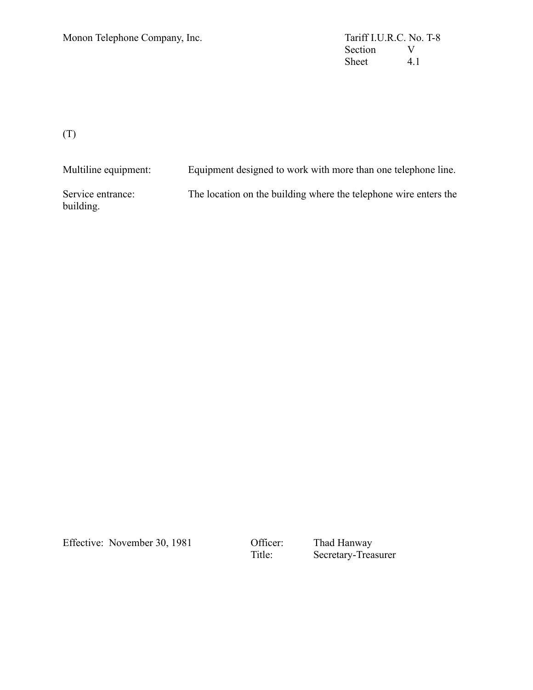Section V<br>Sheet 4.1 Sheet

(T)

Multiline equipment: Equipment designed to work with more than one telephone line. Service entrance: The location on the building where the telephone wire enters the building.

Effective: November 30, 1981 Officer: Thad Hanway<br>Title: Secretary-Trea

Secretary-Treasurer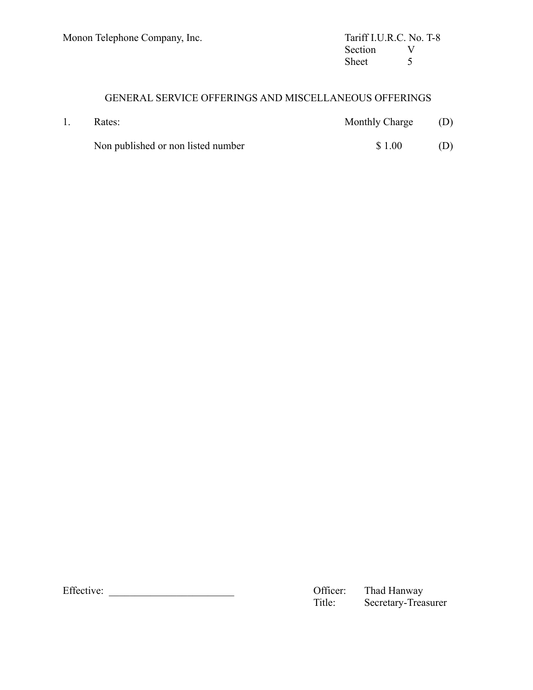## GENERAL SERVICE OFFERINGS AND MISCELLANEOUS OFFERINGS

| 1. | Rates:                             | Monthly Charge (D) |     |
|----|------------------------------------|--------------------|-----|
|    | Non published or non listed number | \$1.00             | (D) |

Effective: \_\_\_\_\_\_\_\_\_\_\_\_\_\_\_\_\_\_\_\_\_\_\_\_ Officer: Thad Hanway Secretary-Treasurer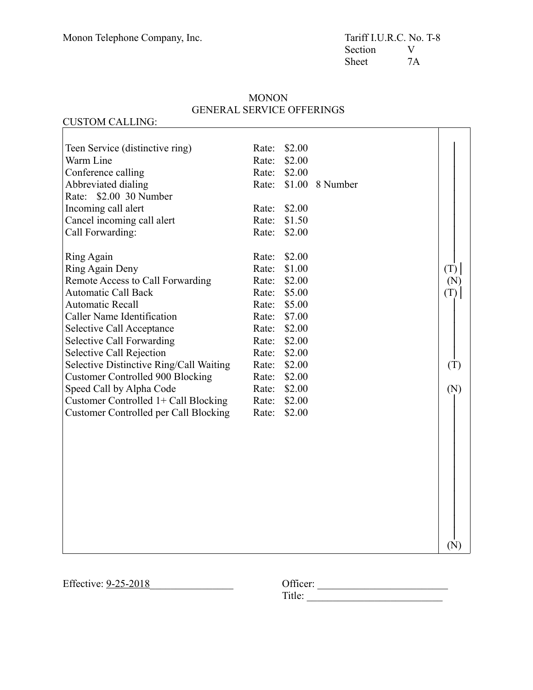CUSTOM CALLING:

### **MONON** GENERAL SERVICE OFFERINGS

#### Teen Service (distinctive ring) Rate: \$2.00 Warm Line Rate: \$2.00 Conference calling Rate: \$2.00 Abbreviated dialing Rate: \$1.00 8 Number Rate: \$2.00 30 Number Incoming call alert Rate: \$2.00 Cancel incoming call alert Rate: \$1.50 Call Forwarding: Rate: \$2.00 Ring Again Rate: \$2.00 Ring Again Deny Rate: \$1.00 Remote Access to Call Forwarding Rate: \$2.00 Automatic Call Back Rate: \$5.00 Automatic Recall Rate: \$5.00 Caller Name Identification Rate: \$7.00 Selective Call Acceptance Rate: \$2.00 Selective Call Forwarding Rate: \$2.00 Selective Call Rejection Rate: \$2.00 Selective Distinctive Ring/Call Waiting Rate: \$2.00 Customer Controlled 900 Blocking Rate: \$2.00 Speed Call by Alpha Code Rate: \$2.00 Customer Controlled 1+ Call Blocking Rate: \$2.00 Customer Controlled per Call Blocking Rate: \$2.00 │ │ │ │ │ │ │ │ │ │  $(T)$ (N)  $(T)$ │ │ │ │ │  $(T)$ (N) │ │ │ │ │ │ │ │ │ │ │ │ (N)

Effective:  $9-25-2018$ 

| Officer: |  |  |  |  |
|----------|--|--|--|--|
| Title:   |  |  |  |  |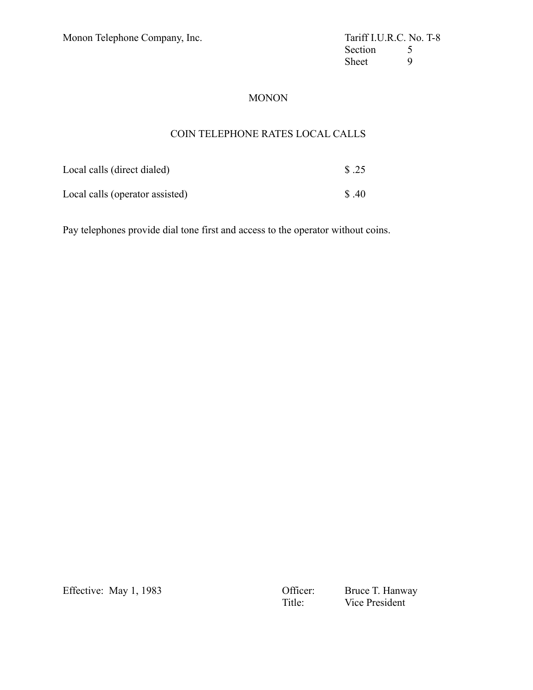Section 5<br>Sheet 9 Sheet

### MONON

## COIN TELEPHONE RATES LOCAL CALLS

| Local calls (direct dialed)     | \$.25 |
|---------------------------------|-------|
| Local calls (operator assisted) | S.40  |

Pay telephones provide dial tone first and access to the operator without coins.

Effective: May 1, 1983<br>
Officer: Bruce T. Hanway<br>
Title: Vice President Vice President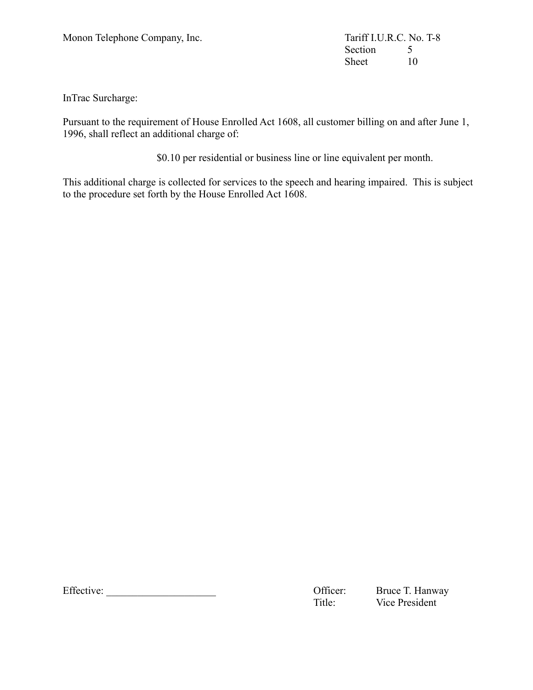Section 5<br>Sheet 10 Sheet

InTrac Surcharge:

Pursuant to the requirement of House Enrolled Act 1608, all customer billing on and after June 1, 1996, shall reflect an additional charge of:

\$0.10 per residential or business line or line equivalent per month.

This additional charge is collected for services to the speech and hearing impaired. This is subject to the procedure set forth by the House Enrolled Act 1608.

Effective: \_\_\_\_\_\_\_\_\_\_\_\_\_\_\_\_\_\_\_\_\_ Officer: Bruce T. Hanway

Title: Vice President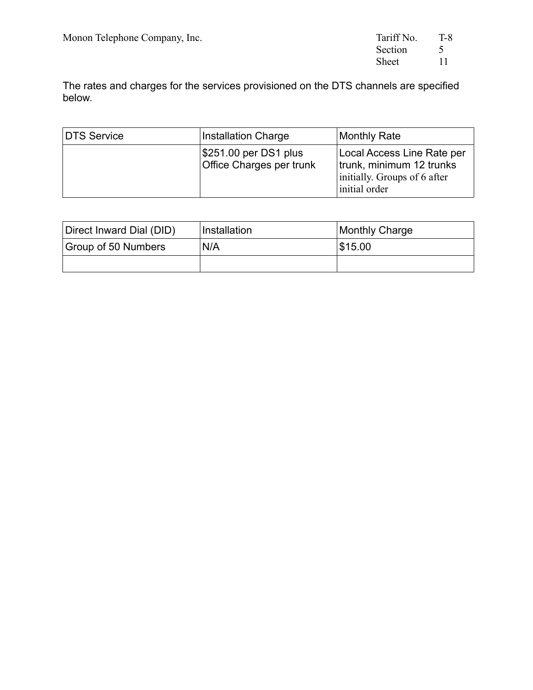| Tariff No. | T-8 |
|------------|-----|
| Section    | 5   |
| Sheet      | 11  |

The rates and charges for the services provisioned on the DTS channels are specified below.

| DTS Service | <b>Installation Charge</b>                        | <b>Monthly Rate</b>                                                                                     |
|-------------|---------------------------------------------------|---------------------------------------------------------------------------------------------------------|
|             | \$251.00 per DS1 plus<br>Office Charges per trunk | Local Access Line Rate per<br>trunk, minimum 12 trunks<br>initially. Groups of 6 after<br>initial order |

| Direct Inward Dial (DID) | Installation | Monthly Charge |
|--------------------------|--------------|----------------|
| Group of 50 Numbers      | N/A          | \$15.00        |
|                          |              |                |